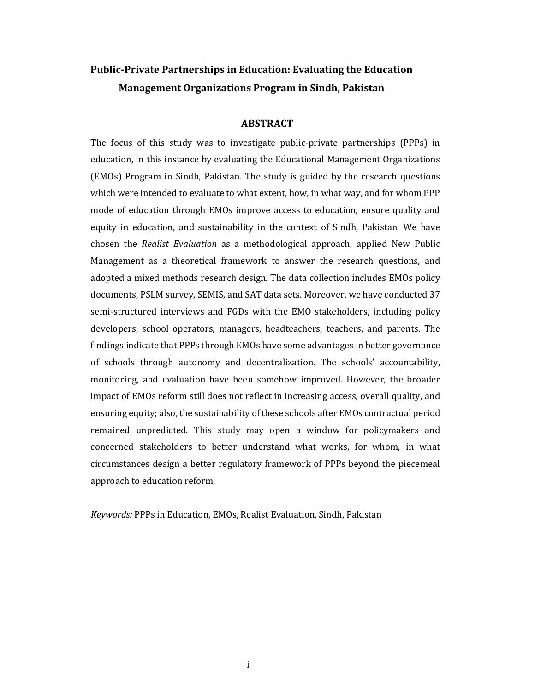# **Public-Private Partnerships in Education: Evaluating the Education Management Organizations Program in Sindh, Pakistan**

#### **ABSTRACT**

The focus of this study was to investigate public-private partnerships (PPPs) in education, in this instance by evaluating the Educational Management Organizations (EMOs) Program in Sindh, Pakistan. The study is guided by the research questions which were intended to evaluate to what extent, how, in what way, and for whom PPP mode of education through EMOs improve access to education, ensure quality and equity in education, and sustainability in the context of Sindh, Pakistan. We have chosen the *Realist Evaluation* as a methodological approach, applied New Public Management as a theoretical framework to answer the research questions, and adopted a mixed methods research design. The data collection includes EMOs policy documents, PSLM survey, SEMIS, and SAT data sets. Moreover, we have conducted 37 semi-structured interviews and FGDs with the EMO stakeholders, including policy developers, school operators, managers, headteachers, teachers, and parents. The findings indicate that PPPs through EMOs have some advantages in better governance of schools through autonomy and decentralization. The schools' accountability, monitoring, and evaluation have been somehow improved. However, the broader impact of EMOs reform still does not reflect in increasing access, overall quality, and ensuring equity; also, the sustainability of these schools after EMOs contractual period remained unpredicted. This study may open a window for policymakers and concerned stakeholders to better understand what works, for whom, in what circumstances design a better regulatory framework of PPPs beyond the piecemeal approach to education reform.

Keywords: PPPs in Education, EMOs, Realist Evaluation, Sindh, Pakistan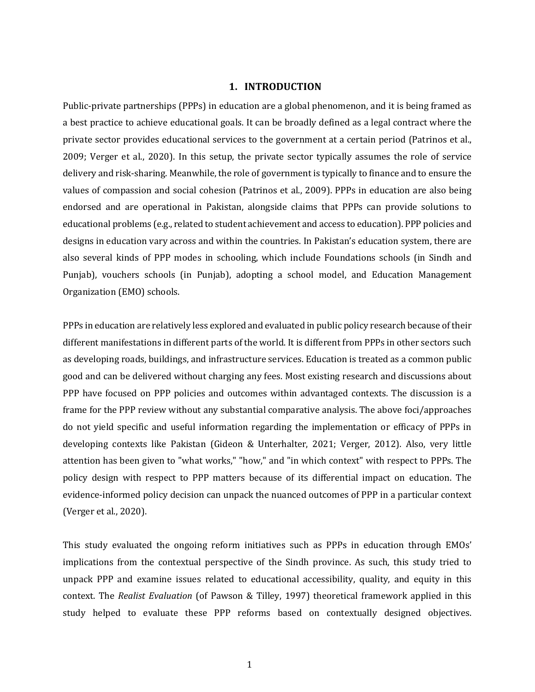#### **1. INTRODUCTION**

Public-private partnerships (PPPs) in education are a global phenomenon, and it is being framed as a best practice to achieve educational goals. It can be broadly defined as a legal contract where the private sector provides educational services to the government at a certain period (Patrinos et al.,  $2009$ ; Verger et al.,  $2020$ ). In this setup, the private sector typically assumes the role of service delivery and risk-sharing. Meanwhile, the role of government is typically to finance and to ensure the values of compassion and social cohesion (Patrinos et al., 2009). PPPs in education are also being endorsed and are operational in Pakistan, alongside claims that PPPs can provide solutions to educational problems (e.g., related to student achievement and access to education). PPP policies and designs in education vary across and within the countries. In Pakistan's education system, there are also several kinds of PPP modes in schooling, which include Foundations schools (in Sindh and Punjab), vouchers schools (in Punjab), adopting a school model, and Education Management Organization (EMO) schools.

PPPs in education are relatively less explored and evaluated in public policy research because of their different manifestations in different parts of the world. It is different from PPPs in other sectors such as developing roads, buildings, and infrastructure services. Education is treated as a common public good and can be delivered without charging any fees. Most existing research and discussions about PPP have focused on PPP policies and outcomes within advantaged contexts. The discussion is a frame for the PPP review without any substantial comparative analysis. The above foci/approaches do not yield specific and useful information regarding the implementation or efficacy of PPPs in developing contexts like Pakistan (Gideon & Unterhalter, 2021; Verger, 2012). Also, very little attention has been given to "what works," "how," and "in which context" with respect to PPPs. The policy design with respect to PPP matters because of its differential impact on education. The evidence-informed policy decision can unpack the nuanced outcomes of PPP in a particular context (Verger et al., 2020).

This study evaluated the ongoing reform initiatives such as PPPs in education through EMOs' implications from the contextual perspective of the Sindh province. As such, this study tried to unpack PPP and examine issues related to educational accessibility, quality, and equity in this context. The *Realist Evaluation* (of Pawson & Tilley, 1997) theoretical framework applied in this study helped to evaluate these PPP reforms based on contextually designed objectives.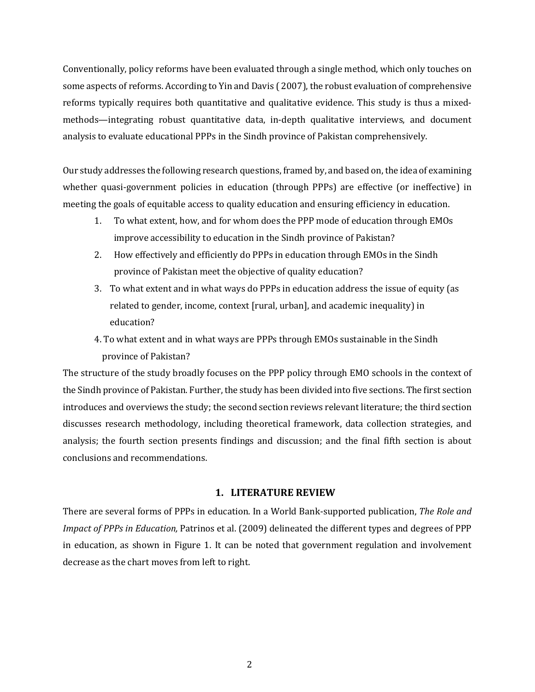Conventionally, policy reforms have been evaluated through a single method, which only touches on some aspects of reforms. According to Yin and Davis (2007), the robust evaluation of comprehensive reforms typically requires both quantitative and qualitative evidence. This study is thus a mixedmethods—integrating robust quantitative data, in-depth qualitative interviews, and document analysis to evaluate educational PPPs in the Sindh province of Pakistan comprehensively.

Our study addresses the following research questions, framed by, and based on, the idea of examining whether quasi-government policies in education (through PPPs) are effective (or ineffective) in meeting the goals of equitable access to quality education and ensuring efficiency in education.

- 1. To what extent, how, and for whom does the PPP mode of education through EMOs improve accessibility to education in the Sindh province of Pakistan?
- 2. How effectively and efficiently do PPPs in education through EMOs in the Sindh province of Pakistan meet the objective of quality education?
- 3. To what extent and in what ways do PPPs in education address the issue of equity (as related to gender, income, context [rural, urban], and academic inequality) in education?
- 4. To what extent and in what ways are PPPs through EMOs sustainable in the Sindh province of Pakistan?

The structure of the study broadly focuses on the PPP policy through EMO schools in the context of the Sindh province of Pakistan. Further, the study has been divided into five sections. The first section introduces and overviews the study; the second section reviews relevant literature; the third section discusses research methodology, including theoretical framework, data collection strategies, and analysis; the fourth section presents findings and discussion; and the final fifth section is about conclusions and recommendations. 

#### **1. LITERATURE REVIEW**

There are several forms of PPPs in education. In a World Bank-supported publication, *The Role and Impact of PPPs in Education, Patrinos et al.* (2009) delineated the different types and degrees of PPP in education, as shown in Figure 1. It can be noted that government regulation and involvement decrease as the chart moves from left to right.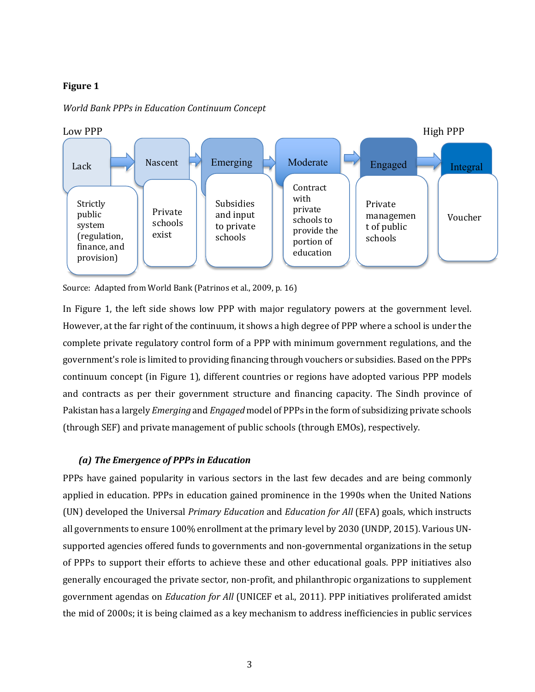### **Figure 1**



*World Bank PPPs in Education Continuum Concept*

Source: Adapted from World Bank (Patrinos et al., 2009, p. 16)

In Figure 1, the left side shows low PPP with major regulatory powers at the government level. However, at the far right of the continuum, it shows a high degree of PPP where a school is under the complete private regulatory control form of a PPP with minimum government regulations, and the government's role is limited to providing financing through vouchers or subsidies. Based on the PPPs continuum concept (in Figure 1), different countries or regions have adopted various PPP models and contracts as per their government structure and financing capacity. The Sindh province of Pakistan has a largely *Emerging* and *Engaged* model of PPPs in the form of subsidizing private schools (through SEF) and private management of public schools (through EMOs), respectively.

### *(a) The Emergence of PPPs in Education*

PPPs have gained popularity in various sectors in the last few decades and are being commonly applied in education. PPPs in education gained prominence in the 1990s when the United Nations (UN) developed the Universal *Primary Education* and *Education for All* (EFA) goals, which instructs all governments to ensure 100% enrollment at the primary level by 2030 (UNDP, 2015). Various UNsupported agencies offered funds to governments and non-governmental organizations in the setup of PPPs to support their efforts to achieve these and other educational goals. PPP initiatives also generally encouraged the private sector, non-profit, and philanthropic organizations to supplement government agendas on *Education for All* (UNICEF et al., 2011). PPP initiatives proliferated amidst the mid of 2000s; it is being claimed as a key mechanism to address inefficiencies in public services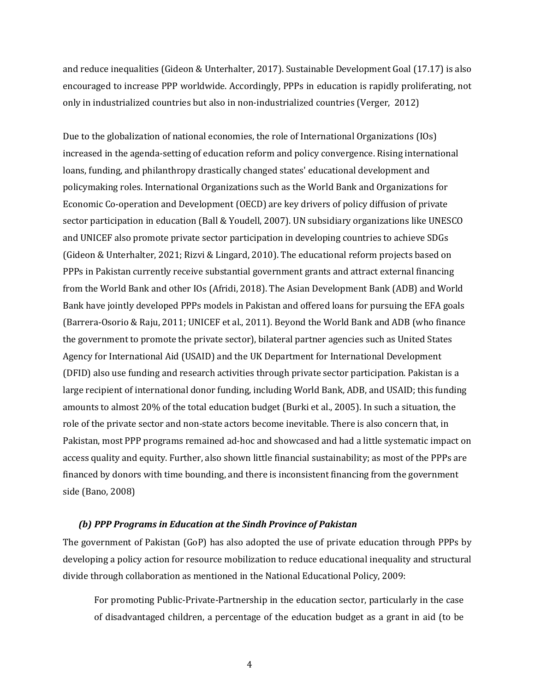and reduce inequalities (Gideon & Unterhalter, 2017). Sustainable Development Goal  $(17.17)$  is also encouraged to increase PPP worldwide. Accordingly, PPPs in education is rapidly proliferating, not only in industrialized countries but also in non-industrialized countries (Verger, 2012)

Due to the globalization of national economies, the role of International Organizations  $(10s)$ increased in the agenda-setting of education reform and policy convergence. Rising international loans, funding, and philanthropy drastically changed states' educational development and policymaking roles. International Organizations such as the World Bank and Organizations for Economic Co-operation and Development (OECD) are key drivers of policy diffusion of private sector participation in education (Ball & Youdell, 2007). UN subsidiary organizations like UNESCO and UNICEF also promote private sector participation in developing countries to achieve SDGs (Gideon & Unterhalter, 2021; Rizvi & Lingard, 2010). The educational reform projects based on PPPs in Pakistan currently receive substantial government grants and attract external financing from the World Bank and other IOs (Afridi, 2018). The Asian Development Bank (ADB) and World Bank have jointly developed PPPs models in Pakistan and offered loans for pursuing the EFA goals (Barrera-Osorio & Raju, 2011; UNICEF et al., 2011). Beyond the World Bank and ADB (who finance the government to promote the private sector), bilateral partner agencies such as United States Agency for International Aid (USAID) and the UK Department for International Development (DFID) also use funding and research activities through private sector participation. Pakistan is a large recipient of international donor funding, including World Bank, ADB, and USAID; this funding amounts to almost 20% of the total education budget (Burki et al., 2005). In such a situation, the role of the private sector and non-state actors become inevitable. There is also concern that, in Pakistan, most PPP programs remained ad-hoc and showcased and had a little systematic impact on access quality and equity. Further, also shown little financial sustainability; as most of the PPPs are financed by donors with time bounding, and there is inconsistent financing from the government side (Bano, 2008)

#### *(b)* PPP Programs in Education at the Sindh Province of Pakistan

The government of Pakistan (GoP) has also adopted the use of private education through PPPs by developing a policy action for resource mobilization to reduce educational inequality and structural divide through collaboration as mentioned in the National Educational Policy, 2009:

For promoting Public-Private-Partnership in the education sector, particularly in the case of disadvantaged children, a percentage of the education budget as a grant in aid (to be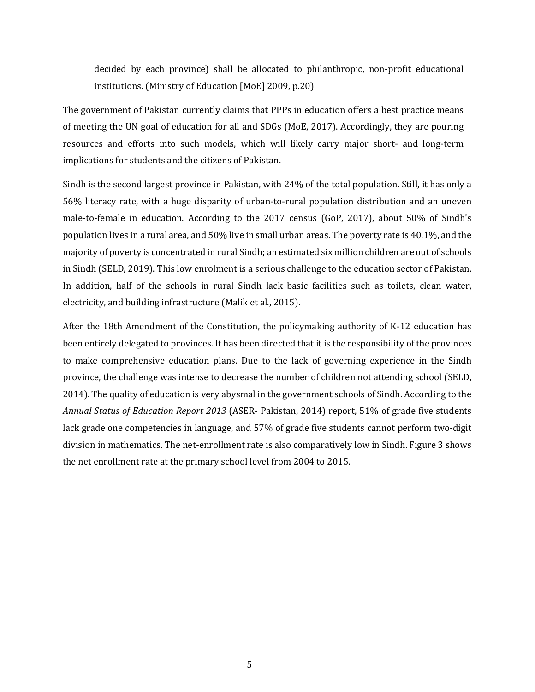decided by each province) shall be allocated to philanthropic, non-profit educational institutions. (Ministry of Education [MoE] 2009, p.20)

The government of Pakistan currently claims that PPPs in education offers a best practice means of meeting the UN goal of education for all and SDGs (MoE, 2017). Accordingly, they are pouring resources and efforts into such models, which will likely carry major short- and long-term implications for students and the citizens of Pakistan.

Sindh is the second largest province in Pakistan, with  $24\%$  of the total population. Still, it has only a 56% literacy rate, with a huge disparity of urban-to-rural population distribution and an uneven male-to-female in education. According to the 2017 census (GoP, 2017), about 50% of Sindh's population lives in a rural area, and 50% live in small urban areas. The poverty rate is 40.1%, and the majority of poverty is concentrated in rural Sindh; an estimated six million children are out of schools in Sindh (SELD, 2019). This low enrolment is a serious challenge to the education sector of Pakistan. In addition, half of the schools in rural Sindh lack basic facilities such as toilets, clean water, electricity, and building infrastructure (Malik et al., 2015).

After the 18th Amendment of the Constitution, the policymaking authority of K-12 education has been entirely delegated to provinces. It has been directed that it is the responsibility of the provinces to make comprehensive education plans. Due to the lack of governing experience in the Sindh province, the challenge was intense to decrease the number of children not attending school (SELD, 2014). The quality of education is very abysmal in the government schools of Sindh. According to the Annual Status of Education Report 2013 (ASER- Pakistan, 2014) report, 51% of grade five students lack grade one competencies in language, and 57% of grade five students cannot perform two-digit division in mathematics. The net-enrollment rate is also comparatively low in Sindh. Figure 3 shows the net enrollment rate at the primary school level from 2004 to 2015.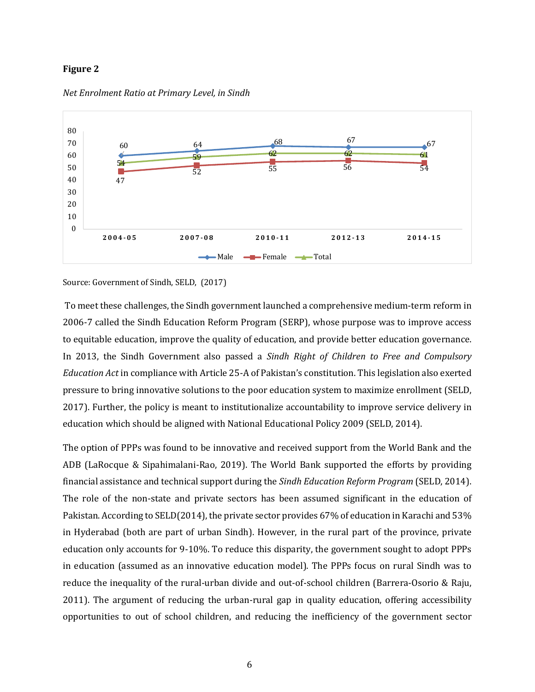#### **Figure 2**



*Net Enrolment Ratio at Primary Level, in Sindh*

Source: Government of Sindh, SELD, (2017)

To meet these challenges, the Sindh government launched a comprehensive medium-term reform in 2006-7 called the Sindh Education Reform Program (SERP), whose purpose was to improve access to equitable education, improve the quality of education, and provide better education governance. In 2013, the Sindh Government also passed a *Sindh Right of Children to Free and Compulsory Education Act* in compliance with Article 25-A of Pakistan's constitution. This legislation also exerted pressure [t](https://www.zotero.org/google-docs/?nHp0Vn)o bring innovative solutions to the poor education system to maximize enrollment [\(SELD,](https://www.zotero.org/google-docs/?nHp0Vn) [2017\)](https://www.zotero.org/google-docs/?nHp0Vn). Further, the policy is meant to institutionalize accountability to improve service delivery in education which should be aligned with National Educational Policy 2009 (SELD, 2014).

The option of PPPs was found to be innovative and received support from the World Bank and the ADB (LaRocque & Sipahimalani-Rao, 2019). The World Bank supported the efforts by providing financial assistance and technical support during the *Sindh Education Reform Program* (SELD, 2014). The role of the non-state and private sectors has been assumed significant in the education of Pakistan. According to SELD(2014), the private sector provides  $67\%$  of education in Karachi and  $53\%$ in Hyderabad (both are part of urban Sindh). However, in the rural part of the province, private education only accounts for 9-10%. To reduce this disparity, the government sought to adopt PPPs in education (assumed as an innovative education model). The PPPs focus on rural Sindh was to reduce the inequality of the rural-urban divide and out-of-school children (Barrera-Osorio & Raju, 2011). The argument of reducing the urban-rural gap in quality education, offering accessibility opportunities to out of school children, and reducing the inefficiency of the government sector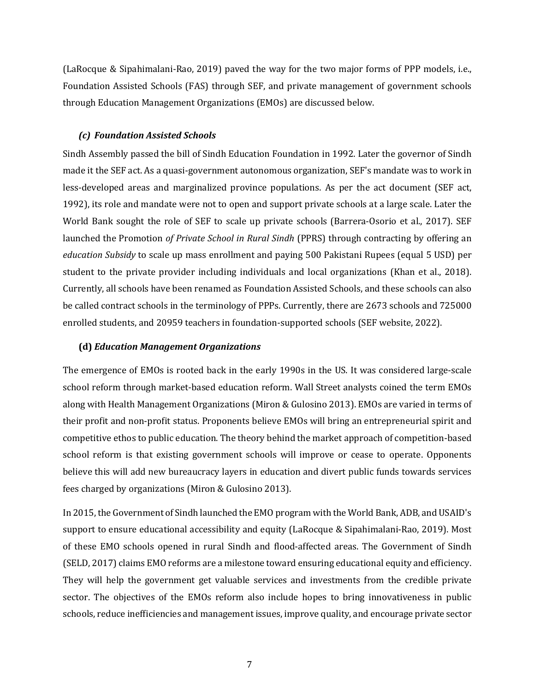(LaRocque & Sipahimalani-Rao, 2019) paved the way for the two major forms of PPP models, i.e., Foundation Assisted Schools (FAS) through SEF, and private management of government schools through Education Management Organizations (EMOs) are discussed below.

#### *(c) Foundation Assisted Schools*

Sindh Assembly passed the bill of Sindh Education Foundation in 1992. Later the governor of Sindh made it the SEF act. As a quasi-government autonomous organization, SEF's mandate was to work in less-developed areas and marginalized province populations. As per the act document (SEF act, 1992), its role and mandate were not to open and support private schools at a large scale. Later the World Bank sought the role of SEF to scale up private schools (Barrera-Osorio et al., 2017). SEF launched the Promotion *of Private School in Rural Sindh* (PPRS) through contracting by offering an *education Subsidy* to scale up mass enrollment and paying 500 Pakistani Rupees (equal 5 USD) per student to the private provider including individuals and local organizations (Khan et al., 2018). Currently, all schools have been renamed as Foundation Assisted Schools, and these schools can also be called contract schools in the terminology of PPPs. Currently, there are 2673 schools and 725000 enrolled students, and 20959 teachers in foundation-supported schools (SEF website, 2022).

#### **(d)** *Education Management Organizations*

The emergence of EMOs is rooted back in the early 1990s in the US. It was considered large-scale school reform through market-based education reform. Wall Street analysts coined the term EMOs along with Health Management Organizations (Miron & Gulosino 2013). EMOs are varied in terms of their profit and non-profit status. Proponents believe EMOs will bring an entrepreneurial spirit and competitive ethos to public education. The theory behind the market approach of competition-based school reform is that existing government schools will improve or cease to operate. Opponents believe this will add new bureaucracy layers in education and divert public funds towards services fees charged by organizations (Miron & Gulosino 2013).

In 2015, the Government of Sindh launched the EMO program with the World Bank, ADB, and USAID's support to ensure educational accessibility and equity (LaRocque & Sipahimalani-Rao, 2019). Most of these EMO schools opened in rural Sindh and flood-affected areas. The Government of Sindh (SELD, 2017) claims EMO reforms are a milestone toward ensuring educational equity and efficiency. They will help the government get valuable services and investments from the credible private sector. The objectives of the EMOs reform also include hopes to bring innovativeness in public schools, reduce inefficiencies and management issues, improve quality, and encourage private sector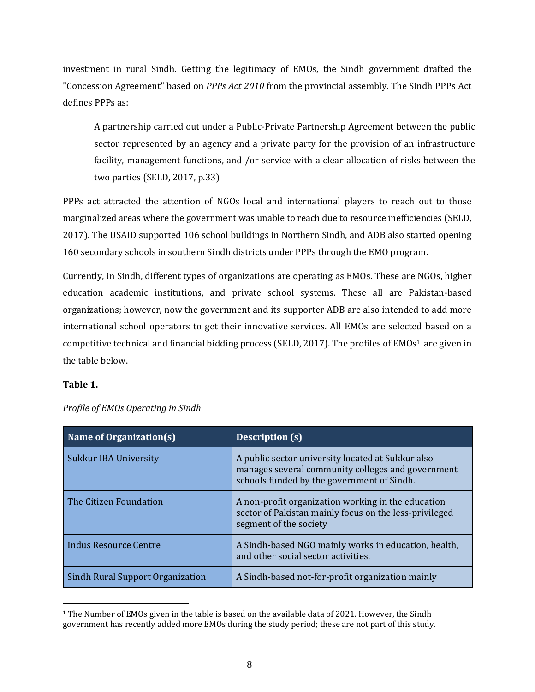investment in rural Sindh. Getting the legitimacy of EMOs, the Sindh government drafted the "Concession Agreement" based on *PPPs Act 2010* from the provincial assembly. The Sindh PPPs Act defines PPPs as:

A partnership carried out under a Public-Private Partnership Agreement between the public sector represented by an agency and a private party for the provision of an infrastructure facility, management functions, and /or service with a clear allocation of risks between the two parties  $(SELD, 2017, p.33)$ 

PPPs act attracted the attention of NGOs local and international players to reach out to those marginalized areas where the government was unable to reach due to resource inefficiencies (SELD, 2017). The USAID supported 106 school buildings in Northern Sindh, and ADB also started opening 160 secondary schools in southern Sindh districts under PPPs through the EMO program.

Currently, in Sindh, different types of organizations are operating as EMOs. These are NGOs, higher education academic institutions, and private school systems. These all are Pakistan-based organizations; however, now the government and its supporter ADB are also intended to add more international school operators to get their innovative services. All EMOs are selected based on a competitive technical and financial bidding process (SELD, 2017). The profiles of EMOs<sup>1</sup> are given in the table below.

## **Table 1.**

| Name of Organization(s)          | <b>Description (s)</b>                                                                                                                               |
|----------------------------------|------------------------------------------------------------------------------------------------------------------------------------------------------|
| <b>Sukkur IBA University</b>     | A public sector university located at Sukkur also<br>manages several community colleges and government<br>schools funded by the government of Sindh. |
| The Citizen Foundation           | A non-profit organization working in the education<br>sector of Pakistan mainly focus on the less-privileged<br>segment of the society               |
| <b>Indus Resource Centre</b>     | A Sindh-based NGO mainly works in education, health,<br>and other social sector activities.                                                          |
| Sindh Rural Support Organization | A Sindh-based not-for-profit organization mainly                                                                                                     |

*Profile of EMOs Operating in Sindh*

 $1$  The Number of EMOs given in the table is based on the available data of 2021. However, the Sindh government has recently added more EMOs during the study period; these are not part of this study.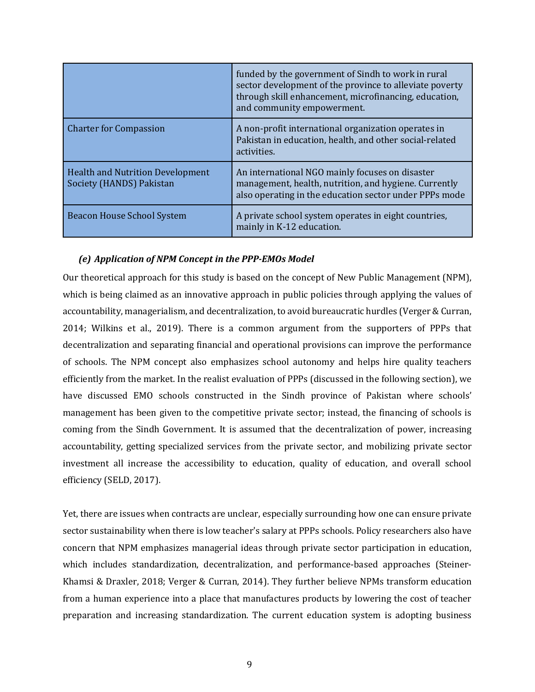|                                                                     | funded by the government of Sindh to work in rural<br>sector development of the province to alleviate poverty<br>through skill enhancement, microfinancing, education,<br>and community empowerment. |
|---------------------------------------------------------------------|------------------------------------------------------------------------------------------------------------------------------------------------------------------------------------------------------|
| <b>Charter for Compassion</b>                                       | A non-profit international organization operates in<br>Pakistan in education, health, and other social-related<br>activities.                                                                        |
| <b>Health and Nutrition Development</b><br>Society (HANDS) Pakistan | An international NGO mainly focuses on disaster<br>management, health, nutrition, and hygiene. Currently<br>also operating in the education sector under PPPs mode                                   |
| <b>Beacon House School System</b>                                   | A private school system operates in eight countries,<br>mainly in K-12 education.                                                                                                                    |

#### *(e) Application of NPM Concept in the PPP-EMOs Model*

Our theoretical approach for this study is based on the concept of New Public Management (NPM), which is being claimed as an innovative approach in public policies through applying the values of accountability, managerialism, and decentralization, to avoid bureaucratic hurdles (Verger & Curran, 2014; Wilkins et al., 2019). There is a common argument from the supporters of PPPs that decentralization and separating financial and operational provisions can improve the performance of schools. The NPM concept also emphasizes school autonomy and helps hire quality teachers efficiently from the market. In the realist evaluation of PPPs (discussed in the following section), we have discussed EMO schools constructed in the Sindh province of Pakistan where schools' management has been given to the competitive private sector; instead, the financing of schools is coming from the Sindh Government. It is assumed that the decentralization of power, increasing accountability, getting specialized services from the private sector, and mobilizing private sector investment all increase the accessibility to education, quality of education, and overall school efficienc[y](https://www.zotero.org/google-docs/?r8Zuqd) (SELD, 2017).

Yet, there are issues when contracts are unclear, especially surrounding how one can ensure private sector sustainability when there is low teacher's salary at PPPs schools. Policy researchers also have concern that NPM emphasizes managerial ideas through private sector participation in education, which include[s](https://www.zotero.org/google-docs/?ZDtuzO) standardization, decentralization, and performance-based approaches [\(Steiner](https://www.zotero.org/google-docs/?ZDtuzO)-Khamsi & Draxler, 2018; Verger & Curran, 2014). They further believe NPMs transform education from a human experience into a place that manufactures products by lowering the cost of teacher preparation and increasing standardization. The current education system is adopting business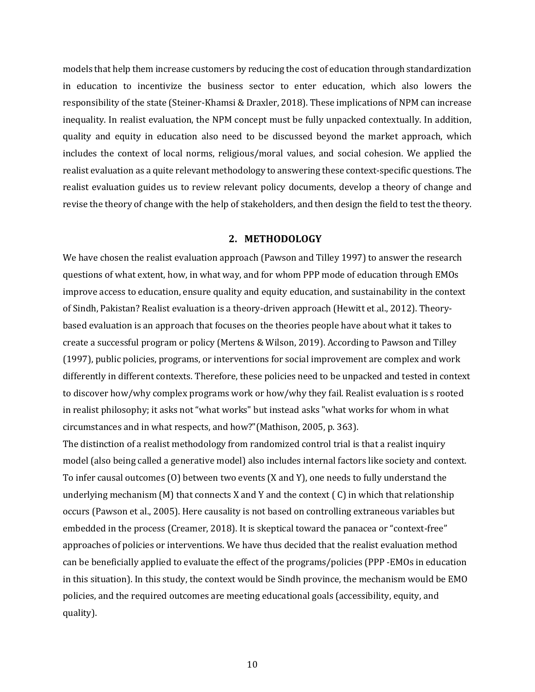models that help them increase customers by reducing the cost of education through standardization in education to incentivize the business sector to enter education, which also lowers the r[e](https://www.zotero.org/google-docs/?yPpqH8)sponsibility of the state (Steiner-Khamsi & Draxler, 2018). These implications of NPM can increase inequality. In realist evaluation, the NPM concept must be fully unpacked contextually. In addition, quality and equity in education also need to be discussed beyond the market approach, which includes the context of local norms, religious/moral values, and social cohesion. We applied the realist evaluatio[n](https://www.zotero.org/google-docs/?GRq6NF) as a quite relevant methodology to answering these context-specific questions. The realist evaluation guides us to review relevant policy documents, develop a theory of change and revise the theory of change with the help of stakeholders, and then design the field to test the theory.

#### **2. METHODOLOGY**

We have chosen the realist evaluation approach (Pawson and Tilley 1997) to answer the research questions of what extent, how, in what way, and for whom PPP mode of education through EMOs improve access to education, ensure quality and equity education, and sustainability in the context of Sindh, Pakistan? Realist evaluation is a theory-driven approach (Hewitt et al., 2012). Theorybased evaluation is an approach that focuses on the theories people have about what it takes to create a successful program or policy (Mertens & Wilson, 2019). According to Pawson and Tilley (1997), public policies, programs, or interventions for social improvement are complex and work differently in different contexts. Therefore, these policies need to be unpacked and tested in context to discover how/why complex programs work or how/why they fail. Realist evaluation is s rooted in realist philosophy; it asks not "what works" but instead asks "what works for whom in what circumstances and in what respects, and how?"(Mathison, 2005, p. 363).

The distinction of a realist methodology from randomized control trial is that a realist inquiry model (also being called a generative model) also includes internal factors like society and context. To infer causal outcomes  $(0)$  between two events  $(X \text{ and } Y)$ , one needs to fully understand the underlying mechanism (M) that connects X and Y and the context  $( C )$  in which that relationship occurs (Pawson et al., 2005). Here causality is not based on controlling extraneous variables but embedded in the process (Creamer, 2018). It is skeptical toward the panacea or "context-free" approaches of policies or interventions. We have thus decided that the realist evaluation method can be beneficially applied to evaluate the effect of the programs/policies (PPP -EMOs in education in this situation). In this study, the context would be Sindh province, the mechanism would be EMO policies, and the required outcomes are meeting educational goals (accessibility, equity, and quality).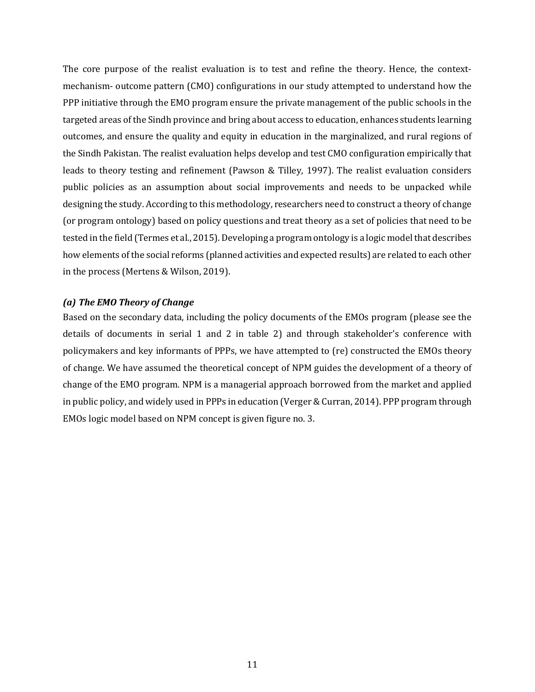The core purpose of the realist evaluation is to test and refine the theory. Hence, the contextmechanism- outcome pattern (CMO) configurations in our study attempted to understand how the PPP initiative through the EMO program ensure the private management of the public schools in the targeted areas of the Sindh province and bring about access to education, enhances students learning outcomes, and ensure the quality and equity in education in the marginalized, and rural regions of the Sindh Pakistan. The realist evaluation helps develop and test CMO configuration empirically that leads to theory testing and refinement (Pawson  $\&$  Tilley, 1997). The realist evaluation considers public policies as an assumption about social improvements and needs to be unpacked while designing the study. According to this methodology, researchers need to construct a theory of change (or program ontology) based on policy questions and treat theory as a set of policies that need to be tested in the field (Termes et al., 2015). Developing a program ontology is a logic model that describes how elements of the social reforms (planned activities and expected results) are related to each other in the process (Mertens & Wilson, 2019).

### *(a)* The EMO Theory of Change

Based on the secondary data, including the policy documents of the EMOs program (please see the details of documents in serial 1 and 2 in table 2) and through stakeholder's conference with policymakers and key informants of PPPs, we have attempted to (re) constructed the EMOs theory of change. We have assumed the theoretical concept of NPM guides the development of a theory of change of the EMO program. NPM is a managerial approach borrowed from the market and applied in public policy, and widely used in PPPs in education (Verger & Curran, 2014). PPP program through EMOs logic model based on NPM concept is given figure no. 3.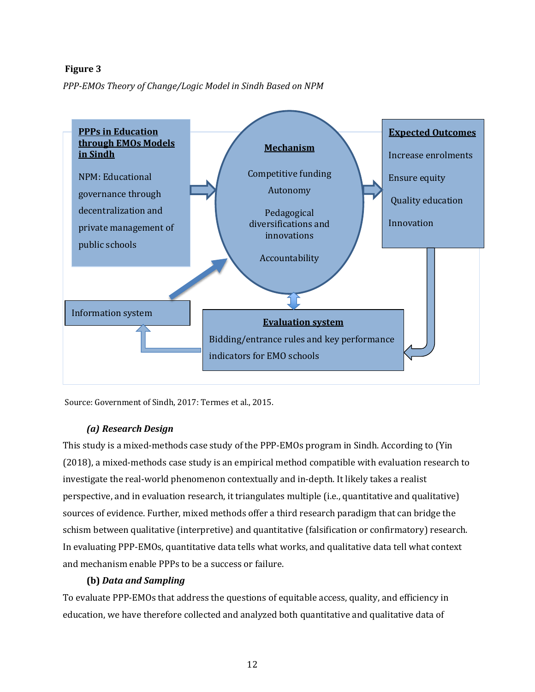## **Figure 3**

*PPP-EMOs Theory of Change/Logic Model in Sindh Based on NPM*



Source: Government of Sindh, 2017: Termes et al., 2015.

## *(a) Research Design*

This study is a mixed-methods case study of the PPP-EMOs program in Sindh. According to (Yin (2018), a mixed-methods case study is an empirical method compatible with evaluation research to investigate the real-world phenomenon contextually and in-depth. It likely takes a realist perspective, and in evaluation research, it triangulates multiple (i.e., quantitative and qualitative) sources of evidence. Further, mixed methods offer a third research paradigm that can bridge the schism between qualitative (interpretive) and quantitative (falsification or confirmatory) research. In evaluating PPP-EMOs, quantitative data tells what works, and qualitative data tell what context and mechanism enable PPPs to be a success or failure.

## **(b)** *Data and Sampling*

To evaluate PPP-EMOs that address the questions of equitable access, quality, and efficiency in education, we have therefore collected and analyzed both quantitative and qualitative data of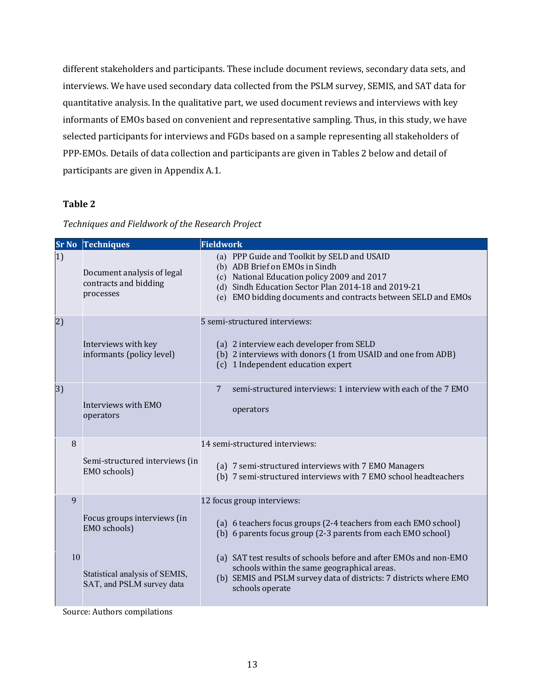different stakeholders and participants. These include document reviews, secondary data sets, and interviews. We have used secondary data collected from the PSLM survey, SEMIS, and SAT data for quantitative analysis. In the qualitative part, we used document reviews and interviews with key informants of EMOs based on convenient and representative sampling. Thus, in this study, we have selected participants for interviews and FGDs based on a sample representing all stakeholders of PPP-EMOs. Details of data collection and participants are given in Tables 2 below and detail of participants are given in Appendix A.1.

## **Table 2**

|              | <b>Sr No Techniques</b>                                          | <b>Fieldwork</b>                                                                                                                                                                                                                                     |
|--------------|------------------------------------------------------------------|------------------------------------------------------------------------------------------------------------------------------------------------------------------------------------------------------------------------------------------------------|
| 1)           | Document analysis of legal<br>contracts and bidding<br>processes | (a) PPP Guide and Toolkit by SELD and USAID<br>(b) ADB Brief on EMOs in Sindh<br>(c) National Education policy 2009 and 2017<br>(d) Sindh Education Sector Plan 2014-18 and 2019-21<br>(e) EMO bidding documents and contracts between SELD and EMOs |
| (2)          | Interviews with key<br>informants (policy level)                 | 5 semi-structured interviews:<br>(a) 2 interview each developer from SELD<br>(b) 2 interviews with donors (1 from USAID and one from ADB)<br>1 Independent education expert<br>(c)                                                                   |
| 3)           | Interviews with EMO<br>operators                                 | semi-structured interviews: 1 interview with each of the 7 EMO<br>7<br>operators                                                                                                                                                                     |
| 8            | Semi-structured interviews (in<br>EMO schools)                   | 14 semi-structured interviews:<br>(a) 7 semi-structured interviews with 7 EMO Managers<br>(b) 7 semi-structured interviews with 7 EMO school headteachers                                                                                            |
| $\mathbf{q}$ | Focus groups interviews (in<br>EMO schools)                      | 12 focus group interviews:<br>(a) 6 teachers focus groups (2-4 teachers from each EMO school)<br>(b) 6 parents focus group (2-3 parents from each EMO school)                                                                                        |
| 10           | Statistical analysis of SEMIS,<br>SAT, and PSLM survey data      | (a) SAT test results of schools before and after EMOs and non-EMO<br>schools within the same geographical areas.<br>(b) SEMIS and PSLM survey data of districts: 7 districts where EMO<br>schools operate                                            |

#### Techniques and Fieldwork of the Research Project

Source: Authors compilations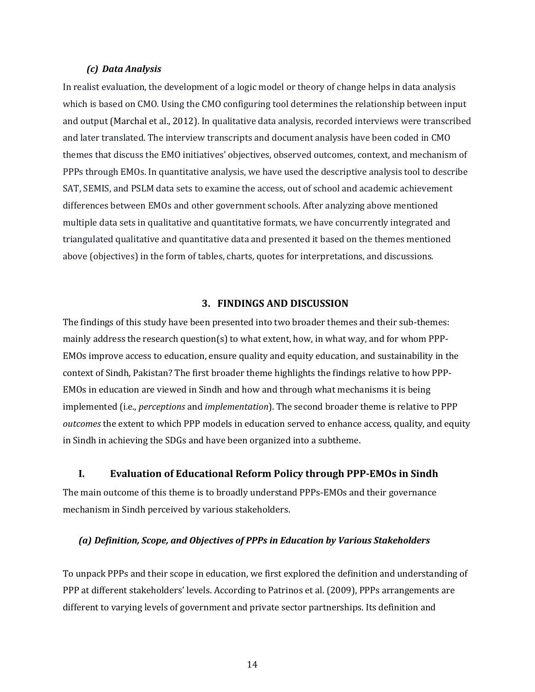#### *(c) Data Analysis*

In realist evaluation, the development of a logic model or theory of change helps in data analysis which is based on CMO. Using the CMO configuring tool determines the relationship between input and output (Marchal et al., 2012). In qualitative data analysis, recorded interviews were transcribed and later translated. The interview transcripts and document analysis have been coded in CMO themes that discuss the EMO initiatives' objectives, observed outcomes, context, and mechanism of PPPs through EMOs. In quantitative analysis, we have used the descriptive analysis tool to describe SAT, SEMIS, and PSLM data sets to examine the access, out of school and academic achievement differences between EMOs and other government schools. After analyzing above mentioned multiple data sets in qualitative and quantitative formats, we have concurrently integrated and triangulated qualitative and quantitative data and presented it based on the themes mentioned above (objectives) in the form of tables, charts, quotes for interpretations, and discussions.

## **3. FINDINGS AND DISCUSSION**

The findings of this study have been presented into two broader themes and their sub-themes: mainly address the research question(s) to what extent, how, in what way, and for whom PPP-EMOs improve access to education, ensure quality and equity education, and sustainability in the context of Sindh, Pakistan? The first broader theme highlights the findings relative to how PPP-EMOs in education are viewed in Sindh and how and through what mechanisms it is being implemented (i.e., *perceptions* and *implementation*). The second broader theme is relative to PPP *outcomes* the extent to which PPP models in education served to enhance access, quality, and equity in Sindh in achieving the SDGs and have been organized into a subtheme.

#### **I. Evaluation of Educational Reform Policy through PPP-EMOs in Sindh**

The main outcome of this theme is to broadly understand PPPs-EMOs and their governance mechanism in Sindh perceived by various stakeholders.

#### *(a) Definition, Scope, and Objectives of PPPs in Education by Various Stakeholders*

To unpack PPPs and their scope in education, we first explored the definition and understanding of PPP at different stakeholders' levels. According to Patrinos et al. (2009), PPPs arrangements are different to varying levels of government and private sector partnerships. Its definition and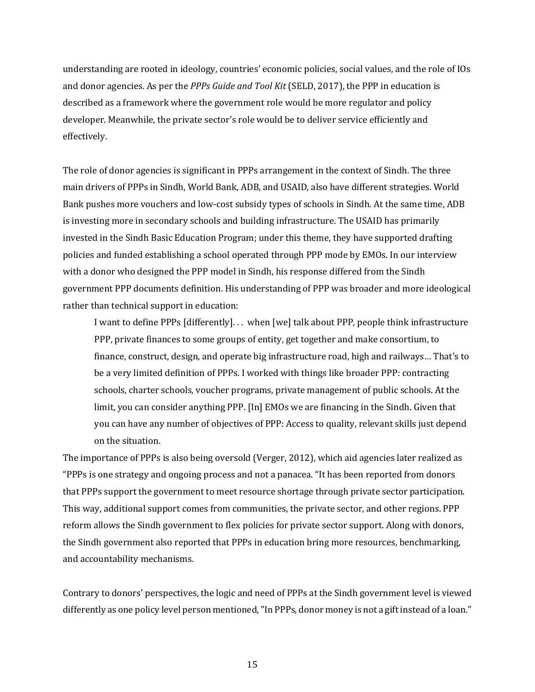understanding are rooted in ideology, countries' economic policies, social values, and the role of IOs and donor agencies. As per the *PPPs Guide and Tool Kit* (SELD, 2017), the PPP in education is described as a framework where the government role would be more regulator and policy developer. Meanwhile, the private sector's role would be to deliver service efficiently and effectively.

The role of donor agencies is significant in PPPs arrangement in the context of Sindh. The three main drivers of PPPs in Sindh, World Bank, ADB, and USAID, also have different strategies. World Bank pushes more vouchers and low-cost subsidy types of schools in Sindh. At the same time, ADB is investing more in secondary schools and building infrastructure. The USAID has primarily invested in the Sindh Basic Education Program; under this theme, they have supported drafting policies and funded establishing a school operated through PPP mode by EMOs. In our interview with a donor who designed the PPP model in Sindh, his response differed from the Sindh government PPP documents definition. His understanding of PPP was broader and more ideological rather than technical support in education:

I want to define PPPs [differently]... when [we] talk about PPP, people think infrastructure PPP, private finances to some groups of entity, get together and make consortium, to finance, construct, design, and operate big infrastructure road, high and railways... That's to be a very limited definition of PPPs. I worked with things like broader PPP: contracting schools, charter schools, voucher programs, private management of public schools. At the limit, you can consider anything PPP. [In] EMOs we are financing in the Sindh. Given that you can have any number of objectives of PPP: Access to quality, relevant skills just depend on the situation.

The importance of PPPs is also being oversold (Verger, 2012), which aid agencies later realized as "PPPs is one strategy and ongoing process and not a panacea. "It has been reported from donors that PPPs support the government to meet resource shortage through private sector participation. This way, additional support comes from communities, the private sector, and other regions. PPP reform allows the Sindh government to flex policies for private sector support. Along with donors, the Sindh government also reported that PPPs in education bring more resources, benchmarking, and accountability mechanisms.

Contrary to donors' perspectives, the logic and need of PPPs at the Sindh government level is viewed differently as one policy level person mentioned, "In PPPs, donor money is not a gift instead of a loan."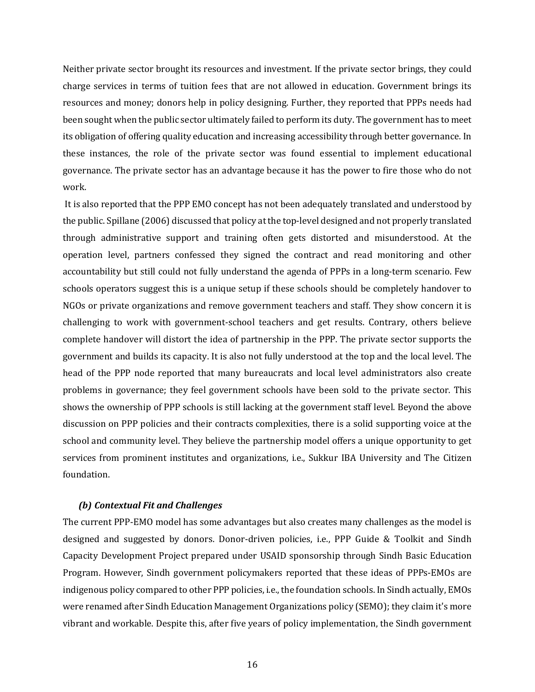Neither private sector brought its resources and investment. If the private sector brings, they could charge services in terms of tuition fees that are not allowed in education. Government brings its resources and money; donors help in policy designing. Further, they reported that PPPs needs had been sought when the public sector ultimately failed to perform its duty. The government has to meet its obligation of offering quality education and increasing accessibility through better governance. In these instances, the role of the private sector was found essential to implement educational governance. The private sector has an advantage because it has the power to fire those who do not work.

It is also reported that the PPP EMO concept has not been adequately translated and understood by the public. Spillane (2006) discussed that policy at the top-level designed and not properly translated through administrative support and training often gets distorted and misunderstood. At the operation level, partners confessed they signed the contract and read monitoring and other accountability but still could not fully understand the agenda of PPPs in a long-term scenario. Few schools operators suggest this is a unique setup if these schools should be completely handover to NGOs or private organizations and remove government teachers and staff. They show concern it is challenging to work with government-school teachers and get results. Contrary, others believe complete handover will distort the idea of partnership in the PPP. The private sector supports the government and builds its capacity. It is also not fully understood at the top and the local level. The head of the PPP node reported that many bureaucrats and local level administrators also create problems in governance; they feel government schools have been sold to the private sector. This shows the ownership of PPP schools is still lacking at the government staff level. Beyond the above discussion on PPP policies and their contracts complexities, there is a solid supporting voice at the school and community level. They believe the partnership model offers a unique opportunity to get services from prominent institutes and organizations, i.e., Sukkur IBA University and The Citizen foundation. 

#### *(b) Contextual Fit and Challenges*

The current PPP-EMO model has some advantages but also creates many challenges as the model is designed and suggested by donors. Donor-driven policies, i.e., PPP Guide & Toolkit and Sindh Capacity Development Project prepared under USAID sponsorship through Sindh Basic Education Program. However, Sindh government policymakers reported that these ideas of PPPs-EMOs are indigenous policy compared to other PPP policies, i.e., the foundation schools. In Sindh actually, EMOs were renamed after Sindh Education Management Organizations policy (SEMO); they claim it's more vibrant and workable. Despite this, after five years of policy implementation, the Sindh government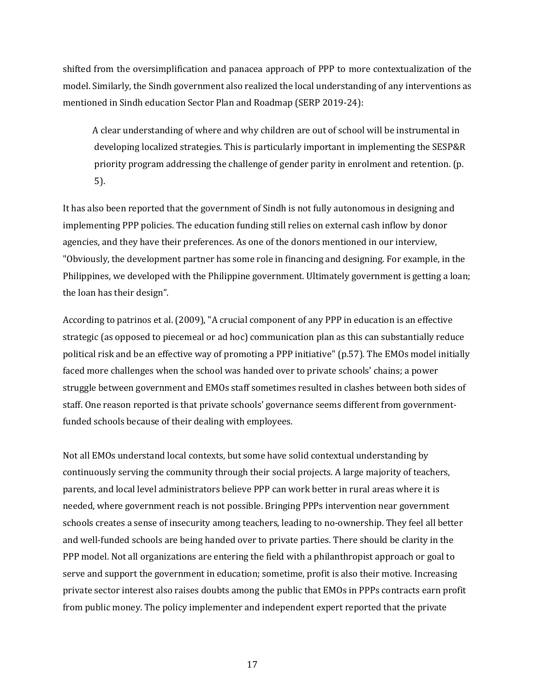shifted from the oversimplification and panacea approach of PPP to more contextualization of the model. Similarly, the Sindh government also realized the local understanding of any interventions as mentioned in Sindh education Sector Plan and Roadmap (SERP 2019-24):

A clear understanding of where and why children are out of school will be instrumental in developing localized strategies. This is particularly important in implementing the SESP&R priority program addressing the challenge of gender parity in enrolment and retention. (p. 5). 

It has also been reported that the government of Sindh is not fully autonomous in designing and implementing PPP policies. The education funding still relies on external cash inflow by donor agencies, and they have their preferences. As one of the donors mentioned in our interview, "Obviously, the development partner has some role in financing and designing. For example, in the Philippines, we developed with the Philippine government. Ultimately government is getting a loan; the loan has their design".

According to patrinos et al. (2009), "A crucial component of any PPP in education is an effective strategic (as opposed to piecemeal or ad hoc) communication plan as this can substantially reduce political risk and be an effective way of promoting a PPP initiative" (p.57). The EMOs model initially faced more challenges when the school was handed over to private schools' chains; a power struggle between government and EMOs staff sometimes resulted in clashes between both sides of staff. One reason reported is that private schools' governance seems different from governmentfunded schools because of their dealing with employees.

Not all EMOs understand local contexts, but some have solid contextual understanding by continuously serving the community through their social projects. A large majority of teachers, parents, and local level administrators believe PPP can work better in rural areas where it is needed, where government reach is not possible. Bringing PPPs intervention near government schools creates a sense of insecurity among teachers, leading to no-ownership. They feel all better and well-funded schools are being handed over to private parties. There should be clarity in the PPP model. Not all organizations are entering the field with a philanthropist approach or goal to serve and support the government in education; sometime, profit is also their motive. Increasing private sector interest also raises doubts among the public that EMOs in PPPs contracts earn profit from public money. The policy implementer and independent expert reported that the private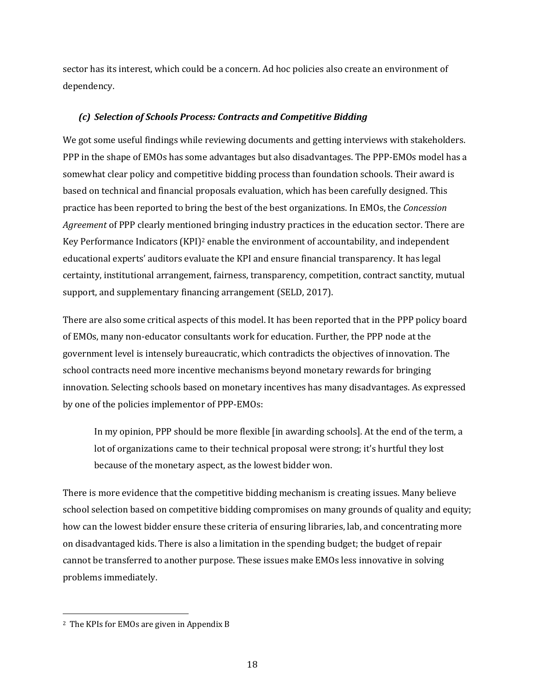sector has its interest, which could be a concern. Ad hoc policies also create an environment of dependency.

#### *(c) Selection of Schools Process: Contracts and Competitive Bidding*

We got some useful findings while reviewing documents and getting interviews with stakeholders. PPP in the shape of EMOs has some advantages but also disadvantages. The PPP-EMOs model has a somewhat clear policy and competitive bidding process than foundation schools. Their award is based on technical and financial proposals evaluation, which has been carefully designed. This practice has been reported to bring the best of the best organizations. In EMOs, the *Concession Agreement* of PPP clearly mentioned bringing industry practices in the education sector. There are Key Performance Indicators  $(KPI)^2$  enable the environment of accountability, and independent educational experts' auditors evaluate the KPI and ensure financial transparency. It has legal certainty, institutional arrangement, fairness, transparency, competition, contract sanctity, mutual support, and supplementary financing arrangement (SELD, 2017).

There are also some critical aspects of this model. It has been reported that in the PPP policy board of EMOs, many non-educator consultants work for education. Further, the PPP node at the government level is intensely bureaucratic, which contradicts the objectives of innovation. The school contracts need more incentive mechanisms beyond monetary rewards for bringing innovation. Selecting schools based on monetary incentives has many disadvantages. As expressed by one of the policies implementor of PPP-EMOs:

In my opinion, PPP should be more flexible [in awarding schools]. At the end of the term, a lot of organizations came to their technical proposal were strong; it's hurtful they lost because of the monetary aspect, as the lowest bidder won.

There is more evidence that the competitive bidding mechanism is creating issues. Many believe school selection based on competitive bidding compromises on many grounds of quality and equity; how can the lowest bidder ensure these criteria of ensuring libraries, lab, and concentrating more on disadvantaged kids. There is also a limitation in the spending budget; the budget of repair cannot be transferred to another purpose. These issues make EMOs less innovative in solving problems immediately. 

<sup>&</sup>lt;sup>2</sup> The KPIs for EMOs are given in Appendix B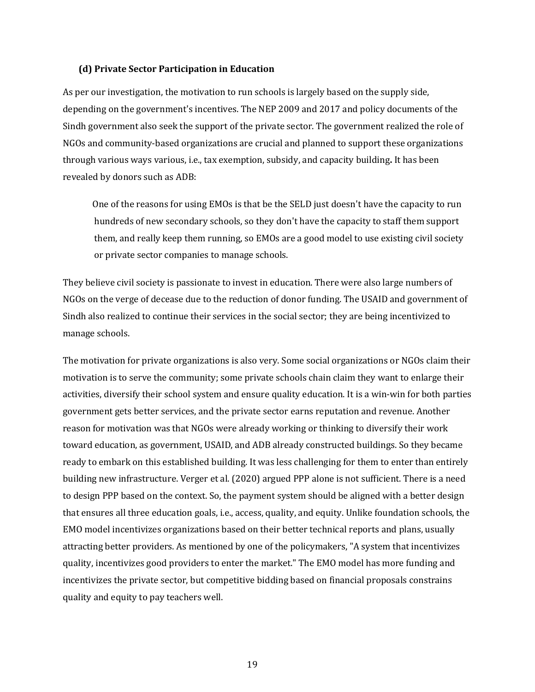#### **(d) Private Sector Participation in Education**

As per our investigation, the motivation to run schools is largely based on the supply side, depending on the government's incentives. The NEP 2009 and 2017 and policy documents of the Sindh government also seek the support of the private sector. The government realized the role of NGOs and community-based organizations are crucial and planned to support these organizations through various ways various, i.e., tax exemption, subsidy, and capacity building. It has been revealed by donors such as ADB:

One of the reasons for using EMOs is that be the SELD just doesn't have the capacity to run hundreds of new secondary schools, so they don't have the capacity to staff them support them, and really keep them running, so EMOs are a good model to use existing civil society or private sector companies to manage schools.

They believe civil society is passionate to invest in education. There were also large numbers of NGOs on the verge of decease due to the reduction of donor funding. The USAID and government of Sindh also realized to continue their services in the social sector; they are being incentivized to manage schools.

The motivation for private organizations is also very. Some social organizations or NGOs claim their motivation is to serve the community; some private schools chain claim they want to enlarge their activities, diversify their school system and ensure quality education. It is a win-win for both parties government gets better services, and the private sector earns reputation and revenue. Another reason for motivation was that NGOs were already working or thinking to diversify their work toward education, as government, USAID, and ADB already constructed buildings. So they became ready to embark on this established building. It was less challenging for them to enter than entirely building new infrastructure. Verger et al. (2020) argued PPP alone is not sufficient. There is a need to design PPP based on the context. So, the payment system should be aligned with a better design that ensures all three education goals, i.e., access, quality, and equity. Unlike foundation schools, the EMO model incentivizes organizations based on their better technical reports and plans, usually attracting better providers. As mentioned by one of the policymakers, "A system that incentivizes quality, incentivizes good providers to enter the market." The EMO model has more funding and incentivizes the private sector, but competitive bidding based on financial proposals constrains quality and equity to pay teachers well.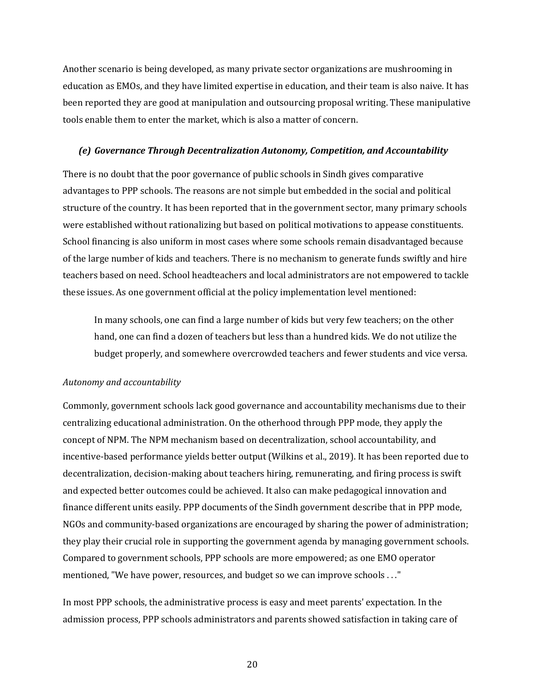Another scenario is being developed, as many private sector organizations are mushrooming in education as EMOs, and they have limited expertise in education, and their team is also naive. It has been reported they are good at manipulation and outsourcing proposal writing. These manipulative tools enable them to enter the market, which is also a matter of concern.

#### *(e) Governance Through Decentralization Autonomy, Competition, and Accountability*

There is no doubt that the poor governance of public schools in Sindh gives comparative advantages to PPP schools. The reasons are not simple but embedded in the social and political structure of the country. It has been reported that in the government sector, many primary schools were established without rationalizing but based on political motivations to appease constituents. School financing is also uniform in most cases where some schools remain disadvantaged because of the large number of kids and teachers. There is no mechanism to generate funds swiftly and hire teachers based on need. School headteachers and local administrators are not empowered to tackle these issues. As one government official at the policy implementation level mentioned:

In many schools, one can find a large number of kids but very few teachers; on the other hand, one can find a dozen of teachers but less than a hundred kids. We do not utilize the budget properly, and somewhere overcrowded teachers and fewer students and vice versa.

#### *Autonomy and accountability*

Commonly, government schools lack good governance and accountability mechanisms due to their centralizing educational administration. On the otherhood through PPP mode, they apply the concept of NPM. The NPM mechanism based on decentralization, school accountability, and incentive-based performance yields better output (Wilkins et al., 2019). It has been reported due to decentralization, decision-making about teachers hiring, remunerating, and firing process is swift and expected better outcomes could be achieved. It also can make pedagogical innovation and finance different units easily. PPP documents of the Sindh government describe that in PPP mode, NGOs and community-based organizations are encouraged by sharing the power of administration; they play their crucial role in supporting the government agenda by managing government schools. Compared to government schools, PPP schools are more empowered; as one EMO operator mentioned, "We have power, resources, and budget so we can improve schools . . ."

In most PPP schools, the administrative process is easy and meet parents' expectation. In the admission process, PPP schools administrators and parents showed satisfaction in taking care of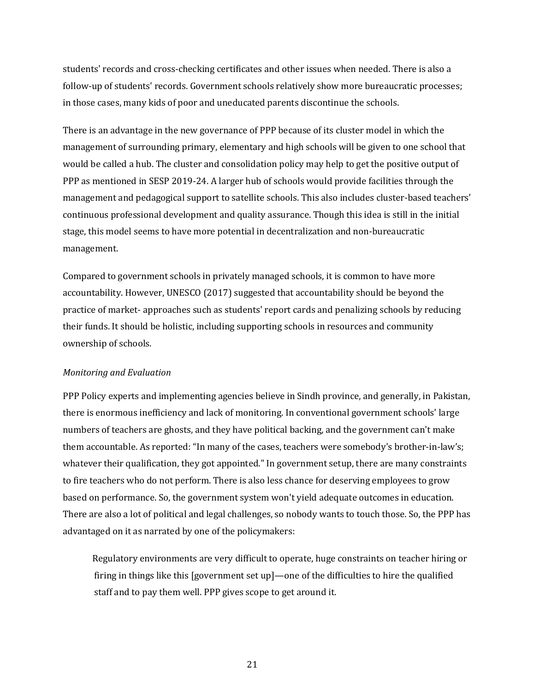students' records and cross-checking certificates and other issues when needed. There is also a follow-up of students' records. Government schools relatively show more bureaucratic processes; in those cases, many kids of poor and uneducated parents discontinue the schools.

There is an advantage in the new governance of PPP because of its cluster model in which the management of surrounding primary, elementary and high schools will be given to one school that would be called a hub. The cluster and consolidation policy may help to get the positive output of PPP as mentioned in SESP 2019-24. A larger hub of schools would provide facilities through the management and pedagogical support to satellite schools. This also includes cluster-based teachers' continuous professional development and quality assurance. Though this idea is still in the initial stage, this model seems to have more potential in decentralization and non-bureaucratic management. 

Compared to government schools in privately managed schools, it is common to have more accountability. However, UNESCO (2017) suggested that accountability should be beyond the practice of market- approaches such as students' report cards and penalizing schools by reducing their funds. It should be holistic, including supporting schools in resources and community ownership of schools.

#### *Monitoring and Evaluation*

PPP Policy experts and implementing agencies believe in Sindh province, and generally, in Pakistan, there is enormous inefficiency and lack of monitoring. In conventional government schools' large numbers of teachers are ghosts, and they have political backing, and the government can't make them accountable. As reported: "In many of the cases, teachers were somebody's brother-in-law's; whatever their qualification, they got appointed." In government setup, there are many constraints to fire teachers who do not perform. There is also less chance for deserving employees to grow based on performance. So, the government system won't yield adequate outcomes in education. There are also a lot of political and legal challenges, so nobody wants to touch those. So, the PPP has advantaged on it as narrated by one of the policymakers:

Regulatory environments are very difficult to operate, huge constraints on teacher hiring or firing in things like this  $[gover$  ment set up $]-$  one of the difficulties to hire the qualified staff and to pay them well. PPP gives scope to get around it.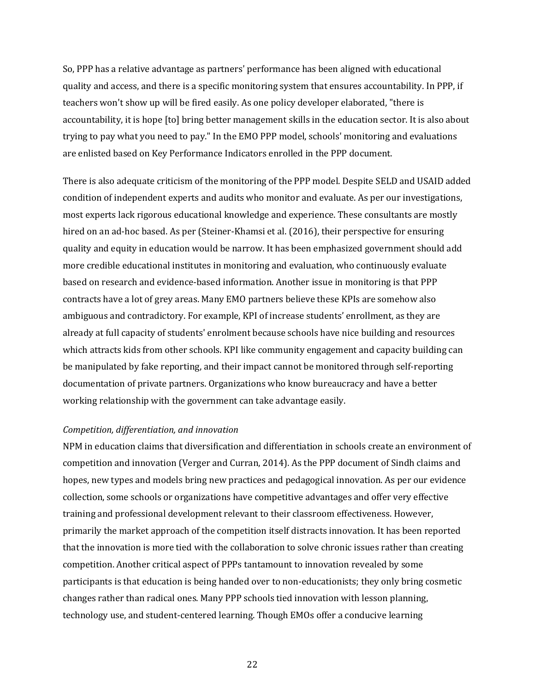So, PPP has a relative advantage as partners' performance has been aligned with educational quality and access, and there is a specific monitoring system that ensures accountability. In PPP, if teachers won't show up will be fired easily. As one policy developer elaborated, "there is accountability, it is hope [to] bring better management skills in the education sector. It is also about trying to pay what you need to pay." In the EMO PPP model, schools' monitoring and evaluations are enlisted based on Key Performance Indicators enrolled in the PPP document.

There is also adequate criticism of the monitoring of the PPP model. Despite SELD and USAID added condition of independent experts and audits who monitor and evaluate. As per our investigations, most experts lack rigorous educational knowledge and experience. These consultants are mostly hired on an ad-hoc based. As per (Steiner-Khamsi et al. (2016), their perspective for ensuring quality and equity in education would be narrow. It has been emphasized government should add more credible educational institutes in monitoring and evaluation, who continuously evaluate based on research and evidence-based information. Another issue in monitoring is that PPP contracts have a lot of grey areas. Many EMO partners believe these KPIs are somehow also ambiguous and contradictory. For example, KPI of increase students' enrollment, as they are already at full capacity of students' enrolment because schools have nice building and resources which attracts kids from other schools. KPI like community engagement and capacity building can be manipulated by fake reporting, and their impact cannot be monitored through self-reporting documentation of private partners. Organizations who know bureaucracy and have a better working relationship with the government can take advantage easily.

#### *Competition, differentiation, and innovation*

NPM in education claims that diversification and differentiation in schools create an environment of competition and innovation (Verger and Curran, 2014). As the PPP document of Sindh claims and hopes, new types and models bring new practices and pedagogical innovation. As per our evidence collection, some schools or organizations have competitive advantages and offer very effective training and professional development relevant to their classroom effectiveness. However, primarily the market approach of the competition itself distracts innovation. It has been reported that the innovation is more tied with the collaboration to solve chronic issues rather than creating competition. Another critical aspect of PPPs tantamount to innovation revealed by some participants is that education is being handed over to non-educationists; they only bring cosmetic changes rather than radical ones. Many PPP schools tied innovation with lesson planning, technology use, and student-centered learning. Though EMOs offer a conducive learning

<u>22</u>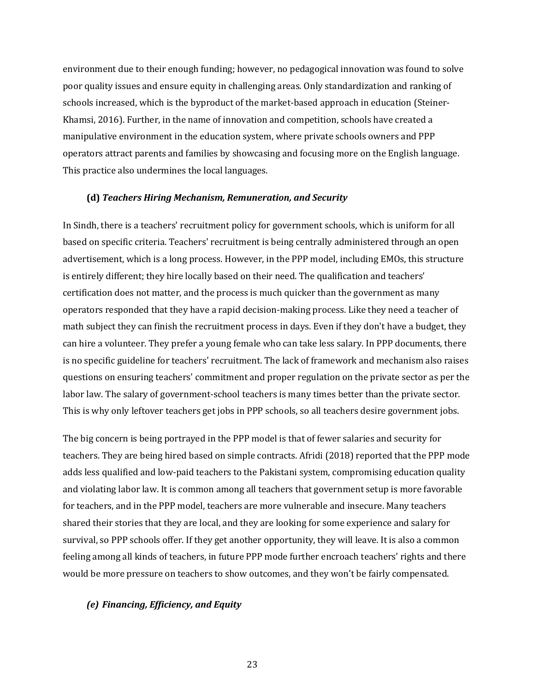environment due to their enough funding; however, no pedagogical innovation was found to solve poor quality issues and ensure equity in challenging areas. Only standardization and ranking of schools increased, which is the byproduct of the market-based approach in education (Steiner-Khamsi, 2016). Further, in the name of innovation and competition, schools have created a manipulative environment in the education system, where private schools owners and PPP operators attract parents and families by showcasing and focusing more on the English language. This practice also undermines the local languages.

#### **(d)** *Teachers Hiring Mechanism, Remuneration, and Security*

In Sindh, there is a teachers' recruitment policy for government schools, which is uniform for all based on specific criteria. Teachers' recruitment is being centrally administered through an open advertisement, which is a long process. However, in the PPP model, including EMOs, this structure is entirely different; they hire locally based on their need. The qualification and teachers' certification does not matter, and the process is much quicker than the government as many operators responded that they have a rapid decision-making process. Like they need a teacher of math subject they can finish the recruitment process in days. Even if they don't have a budget, they can hire a volunteer. They prefer a young female who can take less salary. In PPP documents, there is no specific guideline for teachers' recruitment. The lack of framework and mechanism also raises questions on ensuring teachers' commitment and proper regulation on the private sector as per the labor law. The salary of government-school teachers is many times better than the private sector. This is why only leftover teachers get jobs in PPP schools, so all teachers desire government jobs.

The big concern is being portrayed in the PPP model is that of fewer salaries and security for teachers. They are being hired based on simple contracts. Afridi (2018) reported that the PPP mode adds less qualified and low-paid teachers to the Pakistani system, compromising education quality and violating labor law. It is common among all teachers that government setup is more favorable for teachers, and in the PPP model, teachers are more vulnerable and insecure. Many teachers shared their stories that they are local, and they are looking for some experience and salary for survival, so PPP schools offer. If they get another opportunity, they will leave. It is also a common feeling among all kinds of teachers, in future PPP mode further encroach teachers' rights and there would be more pressure on teachers to show outcomes, and they won't be fairly compensated.

#### *(e) Financing, Efficiency, and Equity*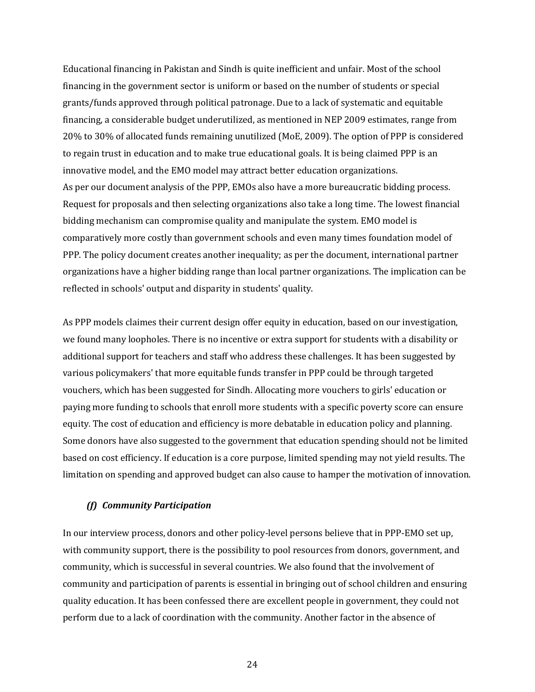Educational financing in Pakistan and Sindh is quite inefficient and unfair. Most of the school financing in the government sector is uniform or based on the number of students or special grants/funds approved through political patronage. Due to a lack of systematic and equitable financing, a considerable budget underutilized, as mentioned in NEP 2009 estimates, range from 20% to 30% of allocated funds remaining unutilized (MoE, 2009). The option of PPP is considered to regain trust in education and to make true educational goals. It is being claimed PPP is an innovative model, and the EMO model may attract better education organizations. As per our document analysis of the PPP, EMOs also have a more bureaucratic bidding process. Request for proposals and then selecting organizations also take a long time. The lowest financial bidding mechanism can compromise quality and manipulate the system. EMO model is comparatively more costly than government schools and even many times foundation model of PPP. The policy document creates another inequality; as per the document, international partner organizations have a higher bidding range than local partner organizations. The implication can be reflected in schools' output and disparity in students' quality.

As PPP models claimes their current design offer equity in education, based on our investigation, we found many loopholes. There is no incentive or extra support for students with a disability or additional support for teachers and staff who address these challenges. It has been suggested by various policymakers' that more equitable funds transfer in PPP could be through targeted vouchers, which has been suggested for Sindh. Allocating more vouchers to girls' education or paying more funding to schools that enroll more students with a specific poverty score can ensure equity. The cost of education and efficiency is more debatable in education policy and planning. Some donors have also suggested to the government that education spending should not be limited based on cost efficiency. If education is a core purpose, limited spending may not yield results. The limitation on spending and approved budget can also cause to hamper the motivation of innovation.

#### *(f) Community Participation*

In our interview process, donors and other policy-level persons believe that in PPP-EMO set up, with community support, there is the possibility to pool resources from donors, government, and community, which is successful in several countries. We also found that the involvement of community and participation of parents is essential in bringing out of school children and ensuring quality education. It has been confessed there are excellent people in government, they could not perform due to a lack of coordination with the community. Another factor in the absence of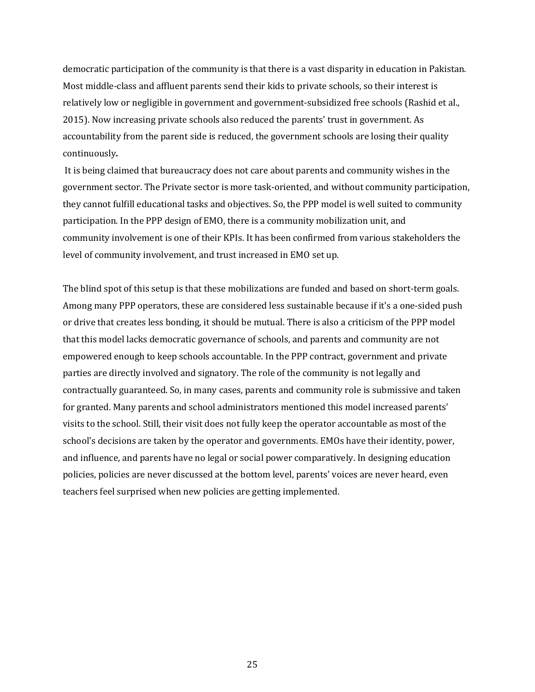democratic participation of the community is that there is a vast disparity in education in Pakistan. Most middle-class and affluent parents send their kids to private schools, so their interest is relatively low or negligible in government and government-subsidized free schools (Rashid et al., 2015). Now increasing private schools also reduced the parents' trust in government. As accountability from the parent side is reduced, the government schools are losing their quality continuously*.* 

It is being claimed that bureaucracy does not care about parents and community wishes in the government sector. The Private sector is more task-oriented, and without community participation, they cannot fulfill educational tasks and objectives. So, the PPP model is well suited to community participation. In the PPP design of EMO, there is a community mobilization unit, and community involvement is one of their KPIs. It has been confirmed from various stakeholders the level of community involvement, and trust increased in EMO set up.

The blind spot of this setup is that these mobilizations are funded and based on short-term goals. Among many PPP operators, these are considered less sustainable because if it's a one-sided push or drive that creates less bonding, it should be mutual. There is also a criticism of the PPP model that this model lacks democratic governance of schools, and parents and community are not empowered enough to keep schools accountable. In the PPP contract, government and private parties are directly involved and signatory. The role of the community is not legally and contractually guaranteed. So, in many cases, parents and community role is submissive and taken for granted. Many parents and school administrators mentioned this model increased parents' visits to the school. Still, their visit does not fully keep the operator accountable as most of the school's decisions are taken by the operator and governments. EMOs have their identity, power, and influence, and parents have no legal or social power comparatively. In designing education policies, policies are never discussed at the bottom level, parents' voices are never heard, even teachers feel surprised when new policies are getting implemented.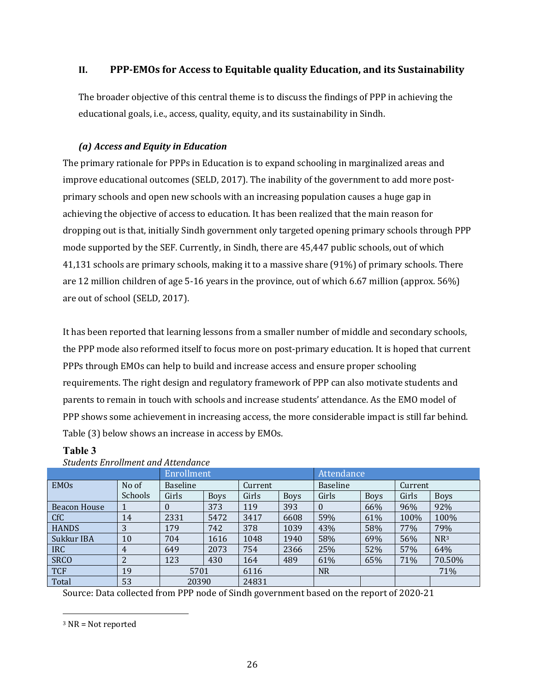## **II.** PPP-EMOs for Access to Equitable quality Education, and its Sustainability

The broader objective of this central theme is to discuss the findings of PPP in achieving the educational goals, i.e., access, quality, equity, and its sustainability in Sindh.

## *(a) Access and Equity in Education*

The primary rationale for PPPs in Education is to expand schooling in marginalized areas and improve educational outcomes (SELD, 2017). The inability of the government to add more postprimary schools and open new schools with an increasing population causes a huge gap in achieving the objective of access to education. It has been realized that the main reason for dropping out is that, initially Sindh government only targeted opening primary schools through PPP mode supported by the SEF. Currently, in Sindh, there are 45,447 public schools, out of which 41,131 schools are primary schools, making it to a massive share (91%) of primary schools. There are 12 million children of age 5-16 years in the province, out of which 6.67 million (approx.  $56\%$ ) are out of school (SELD, 2017).

It has been reported that learning lessons from a smaller number of middle and secondary schools, the PPP mode also reformed itself to focus more on post-primary education. It is hoped that current PPPs through EMOs can help to build and increase access and ensure proper schooling requirements. The right design and regulatory framework of PPP can also motivate students and parents to remain in touch with schools and increase students' attendance. As the EMO model of PPP shows some achievement in increasing access, the more considerable impact is still far behind. Table (3) below shows an increase in access by EMOs.

| <u>Deauches Enformance and Heechaance</u> |                |                 |             |         |             |                 |             |         |                 |  |
|-------------------------------------------|----------------|-----------------|-------------|---------|-------------|-----------------|-------------|---------|-----------------|--|
|                                           | Enrollment     |                 |             |         | Attendance  |                 |             |         |                 |  |
| <b>EMOs</b>                               | No of          | <b>Baseline</b> |             | Current |             | <b>Baseline</b> |             | Current |                 |  |
|                                           | <b>Schools</b> | Girls           | <b>Boys</b> | Girls   | <b>Boys</b> | Girls           | <b>Boys</b> | Girls   | <b>Boys</b>     |  |
| Beacon House                              |                | $\theta$        | 373         | 119     | 393         | $\Omega$        | 66%         | 96%     | 92%             |  |
| <b>CfC</b>                                | 14             | 2331            | 5472        | 3417    | 6608        | 59%             | 61%         | 100%    | 100%            |  |
| <b>HANDS</b>                              | 3              | 179             | 742         | 378     | 1039        | 43%             | 58%         | 77%     | 79%             |  |
| Sukkur IBA                                | 10             | 704             | 1616        | 1048    | 1940        | 58%             | 69%         | 56%     | NR <sup>3</sup> |  |
| IRC                                       | 4              | 649             | 2073        | 754     | 2366        | 25%             | 52%         | 57%     | 64%             |  |
| <b>SRCO</b>                               | 2              | 123             | 430         | 164     | 489         | 61%             | 65%         | 71%     | 70.50%          |  |
| <b>TCF</b>                                | 19             | 5701            |             | 6116    |             | <b>NR</b>       |             | 71%     |                 |  |
| Total                                     | 53             | 20390           |             | 24831   |             |                 |             |         |                 |  |

## **Table 3**

Source: Data collected from PPP node of Sindh government based on the report of 2020-21

 $3$  NR = Not reported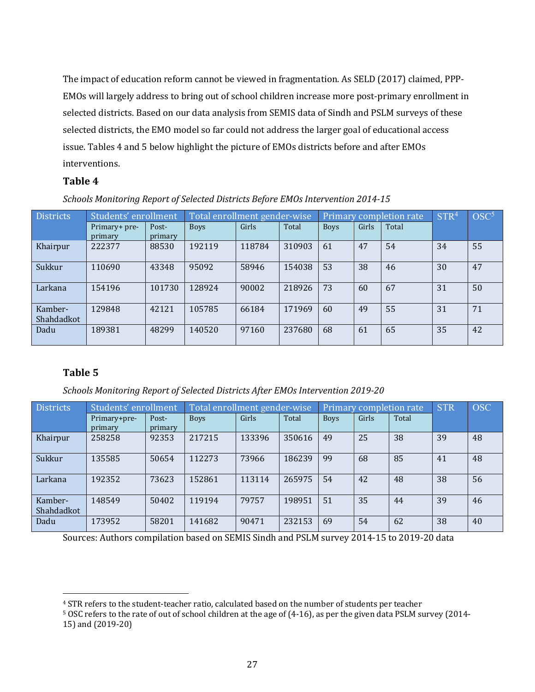The impact of education reform cannot be viewed in fragmentation. As SELD (2017) claimed, PPP-EMOs will largely address to bring out of school children increase more post-primary enrollment in selected districts. Based on our data analysis from SEMIS data of Sindh and PSLM surveys of these selected districts, the EMO model so far could not address the larger goal of educational access issue. Tables 4 and 5 below highlight the picture of EMOs districts before and after EMOs interventions. 

## **Table 4**

| Schools Monitoring Report of Selected Districts Before EMOs Intervention 2014-15 |  |  |
|----------------------------------------------------------------------------------|--|--|
|                                                                                  |  |  |

| Districts             | Students' enrollment     |                  | Total enrollment gender-wise |        |        | Primary completion rate |       | STR <sup>4</sup> | $\mathrm{OSC}^5$ |    |
|-----------------------|--------------------------|------------------|------------------------------|--------|--------|-------------------------|-------|------------------|------------------|----|
|                       | Primary+ pre-<br>primary | Post-<br>primary | <b>Boys</b>                  | Girls  | Total  | <b>Boys</b>             | Girls | Total            |                  |    |
| Khairpur              | 222377                   | 88530            | 192119                       | 118784 | 310903 | 61                      | 47    | 54               | 34               | 55 |
| Sukkur                | 110690                   | 43348            | 95092                        | 58946  | 154038 | 53                      | 38    | 46               | 30               | 47 |
| Larkana               | 154196                   | 101730           | 128924                       | 90002  | 218926 | 73                      | 60    | 67               | 31               | 50 |
| Kamber-<br>Shahdadkot | 129848                   | 42121            | 105785                       | 66184  | 171969 | 60                      | 49    | 55               | 31               | 71 |
| Dadu                  | 189381                   | 48299            | 140520                       | 97160  | 237680 | 68                      | 61    | 65               | 35               | 42 |

## **Table 5**

*Schools Monitoring Report of Selected Districts After EMOs Intervention 2019-20*

| <b>Districts</b>      | Students' enrollment    |                  | Total enrollment gender-wise |        |        |             | Primary completion rate | <b>STR</b> | <b>OSC</b> |    |
|-----------------------|-------------------------|------------------|------------------------------|--------|--------|-------------|-------------------------|------------|------------|----|
|                       | Primary+pre-<br>primary | Post-<br>primary | <b>Boys</b>                  | Girls  | Total  | <b>Boys</b> | Girls                   | Total      |            |    |
| Khairpur              | 258258                  | 92353            | 217215                       | 133396 | 350616 | 49          | 25                      | 38         | 39         | 48 |
| Sukkur                | 135585                  | 50654            | 112273                       | 73966  | 186239 | 99          | 68                      | 85         | 41         | 48 |
| Larkana               | 192352                  | 73623            | 152861                       | 113114 | 265975 | 54          | 42                      | 48         | 38         | 56 |
| Kamber-<br>Shahdadkot | 148549                  | 50402            | 119194                       | 79757  | 198951 | 51          | 35                      | 44         | 39         | 46 |
| Dadu                  | 173952                  | 58201            | 141682                       | 90471  | 232153 | 69          | 54                      | 62         | 38         | 40 |

Sources: Authors compilation based on SEMIS Sindh and PSLM survey 2014-15 to 2019-20 data

<sup>&</sup>lt;sup>4</sup> STR refers to the student-teacher ratio, calculated based on the number of students per teacher

<sup>&</sup>lt;sup>5</sup> OSC refers to the rate of out of school children at the age of (4-16), as per the given data PSLM survey (2014-15) and (2019-20)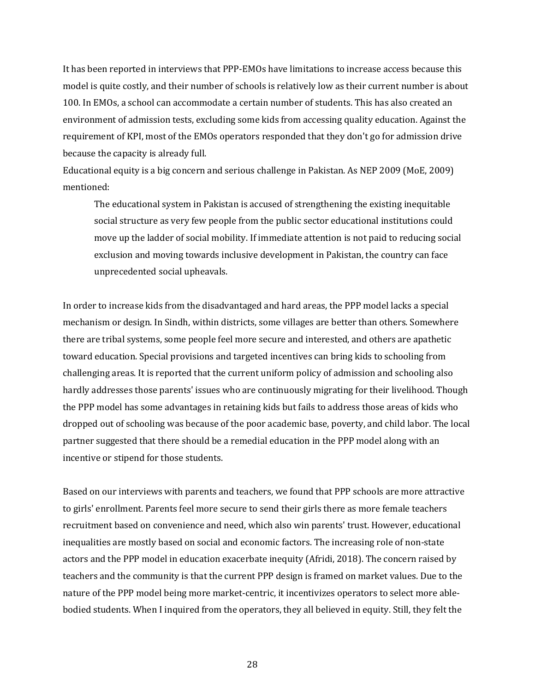It has been reported in interviews that PPP-EMOs have limitations to increase access because this model is quite costly, and their number of schools is relatively low as their current number is about 100. In EMOs, a school can accommodate a certain number of students. This has also created an environment of admission tests, excluding some kids from accessing quality education. Against the requirement of KPI, most of the EMOs operators responded that they don't go for admission drive because the capacity is already full.

Educational equity is a big concern and serious challenge in Pakistan. As NEP 2009 (MoE, 2009) mentioned:

The educational system in Pakistan is accused of strengthening the existing inequitable social structure as very few people from the public sector educational institutions could move up the ladder of social mobility. If immediate attention is not paid to reducing social exclusion and moving towards inclusive development in Pakistan, the country can face unprecedented social upheavals.

In order to increase kids from the disadvantaged and hard areas, the PPP model lacks a special mechanism or design. In Sindh, within districts, some villages are better than others. Somewhere there are tribal systems, some people feel more secure and interested, and others are apathetic toward education. Special provisions and targeted incentives can bring kids to schooling from challenging areas. It is reported that the current uniform policy of admission and schooling also hardly addresses those parents' issues who are continuously migrating for their livelihood. Though the PPP model has some advantages in retaining kids but fails to address those areas of kids who dropped out of schooling was because of the poor academic base, poverty, and child labor. The local partner suggested that there should be a remedial education in the PPP model along with an incentive or stipend for those students.

Based on our interviews with parents and teachers, we found that PPP schools are more attractive to girls' enrollment. Parents feel more secure to send their girls there as more female teachers recruitment based on convenience and need, which also win parents' trust. However, educational inequalities are mostly based on social and economic factors. The increasing role of non-state actors and the PPP model in education exacerbate inequity (Afridi, 2018). The concern raised by teachers and the community is that the current PPP design is framed on market values. Due to the nature of the PPP model being more market-centric, it incentivizes operators to select more ablebodied students. When I inquired from the operators, they all believed in equity. Still, they felt the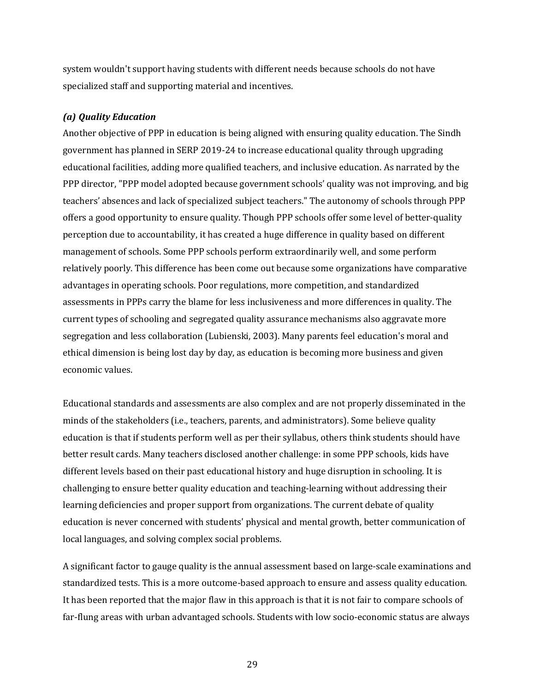system wouldn't support having students with different needs because schools do not have specialized staff and supporting material and incentives.

#### *(a) Quality Education*

Another objective of PPP in education is being aligned with ensuring quality education. The Sindh government has planned in SERP 2019-24 to increase educational quality through upgrading educational facilities, adding more qualified teachers, and inclusive education. As narrated by the PPP director, "PPP model adopted because government schools' quality was not improving, and big teachers' absences and lack of specialized subject teachers." The autonomy of schools through PPP offers a good opportunity to ensure quality. Though PPP schools offer some level of better-quality perception due to accountability, it has created a huge difference in quality based on different management of schools. Some PPP schools perform extraordinarily well, and some perform relatively poorly. This difference has been come out because some organizations have comparative advantages in operating schools. Poor regulations, more competition, and standardized assessments in PPPs carry the blame for less inclusiveness and more differences in quality. The current types of schooling and segregated quality assurance mechanisms also aggravate more segregation and less collaboration (Lubienski, 2003). Many parents feel education's moral and ethical dimension is being lost day by day, as education is becoming more business and given economic values.

Educational standards and assessments are also complex and are not properly disseminated in the minds of the stakeholders (i.e., teachers, parents, and administrators). Some believe quality education is that if students perform well as per their syllabus, others think students should have better result cards. Many teachers disclosed another challenge: in some PPP schools, kids have different levels based on their past educational history and huge disruption in schooling. It is challenging to ensure better quality education and teaching-learning without addressing their learning deficiencies and proper support from organizations. The current debate of quality education is never concerned with students' physical and mental growth, better communication of local languages, and solving complex social problems.

A significant factor to gauge quality is the annual assessment based on large-scale examinations and standardized tests. This is a more outcome-based approach to ensure and assess quality education. It has been reported that the major flaw in this approach is that it is not fair to compare schools of far-flung areas with urban advantaged schools. Students with low socio-economic status are always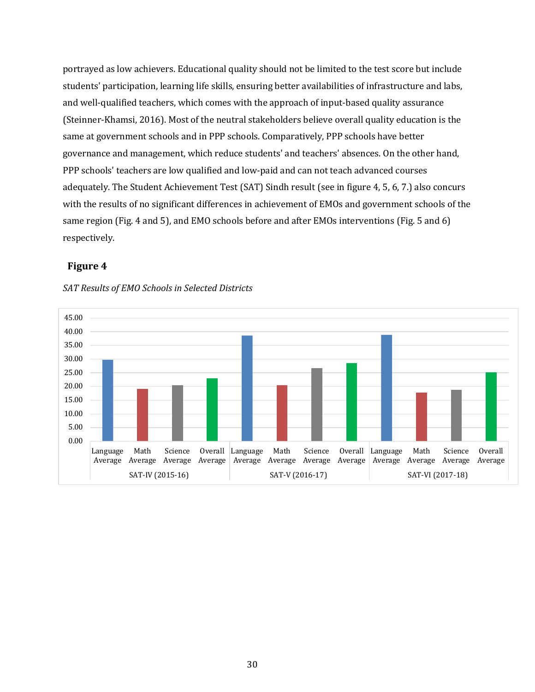portrayed as low achievers. Educational quality should not be limited to the test score but include students' participation, learning life skills, ensuring better availabilities of infrastructure and labs, and well-qualified teachers, which comes with the approach of input-based quality assurance (Steinner-Khamsi, 2016). Most of the neutral stakeholders believe overall quality education is the same at government schools and in PPP schools. Comparatively, PPP schools have better governance and management, which reduce students' and teachers' absences. On the other hand, PPP schools' teachers are low qualified and low-paid and can not teach advanced courses adequately. The Student Achievement Test (SAT) Sindh result (see in figure 4, 5, 6, 7.) also concurs with the results of no significant differences in achievement of EMOs and government schools of the same region (Fig. 4 and 5), and EMO schools before and after EMOs interventions (Fig. 5 and 6) respectively. 

### **Figure 4**



### *SAT Results of EMO Schools in Selected Districts*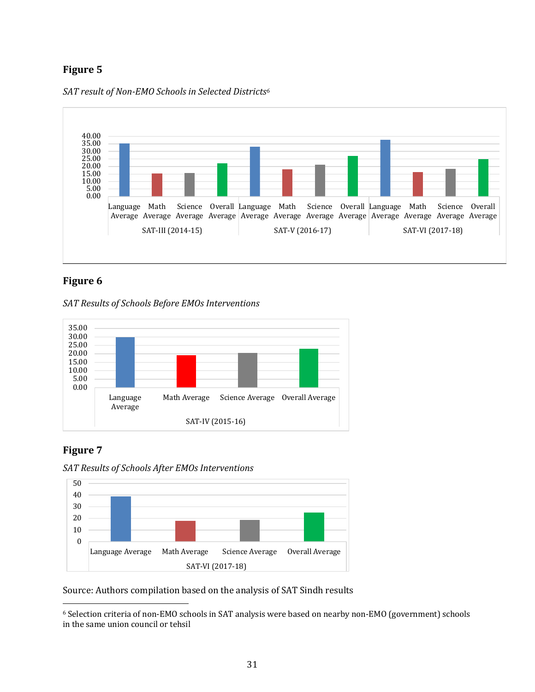## **Figure 5**





## **Figure 6**

*SAT Results of Schools Before EMOs Interventions*



## **Figure 7**

*SAT Results of Schools After EMOs Interventions*



Source: Authors compilation based on the analysis of SAT Sindh results

<sup>&</sup>lt;sup>6</sup> Selection criteria of non-EMO schools in SAT analysis were based on nearby non-EMO (government) schools in the same union council or tehsil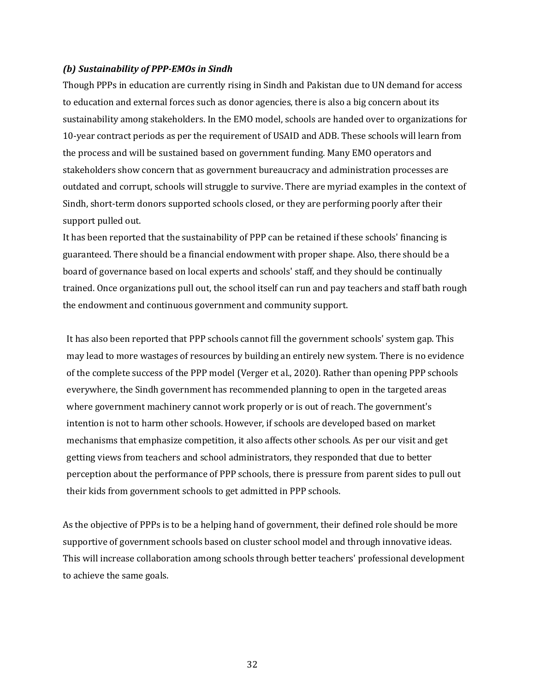#### *(b) Sustainability of PPP-EMOs in Sindh*

Though PPPs in education are currently rising in Sindh and Pakistan due to UN demand for access to education and external forces such as donor agencies, there is also a big concern about its sustainability among stakeholders. In the EMO model, schools are handed over to organizations for 10-year contract periods as per the requirement of USAID and ADB. These schools will learn from the process and will be sustained based on government funding. Many EMO operators and stakeholders show concern that as government bureaucracy and administration processes are outdated and corrupt, schools will struggle to survive. There are myriad examples in the context of Sindh, short-term donors supported schools closed, or they are performing poorly after their support pulled out.

It has been reported that the sustainability of PPP can be retained if these schools' financing is guaranteed. There should be a financial endowment with proper shape. Also, there should be a board of governance based on local experts and schools' staff, and they should be continually trained. Once organizations pull out, the school itself can run and pay teachers and staff bath rough the endowment and continuous government and community support.

It has also been reported that PPP schools cannot fill the government schools' system gap. This may lead to more wastages of resources by building an entirely new system. There is no evidence of the complete success of the PPP model (Verger et al., 2020). Rather than opening PPP schools everywhere, the Sindh government has recommended planning to open in the targeted areas where government machinery cannot work properly or is out of reach. The government's intention is not to harm other schools. However, if schools are developed based on market mechanisms that emphasize competition, it also affects other schools. As per our visit and get getting views from teachers and school administrators, they responded that due to better perception about the performance of PPP schools, there is pressure from parent sides to pull out their kids from government schools to get admitted in PPP schools.

As the objective of PPPs is to be a helping hand of government, their defined role should be more supportive of government schools based on cluster school model and through innovative ideas. This will increase collaboration among schools through better teachers' professional development to achieve the same goals.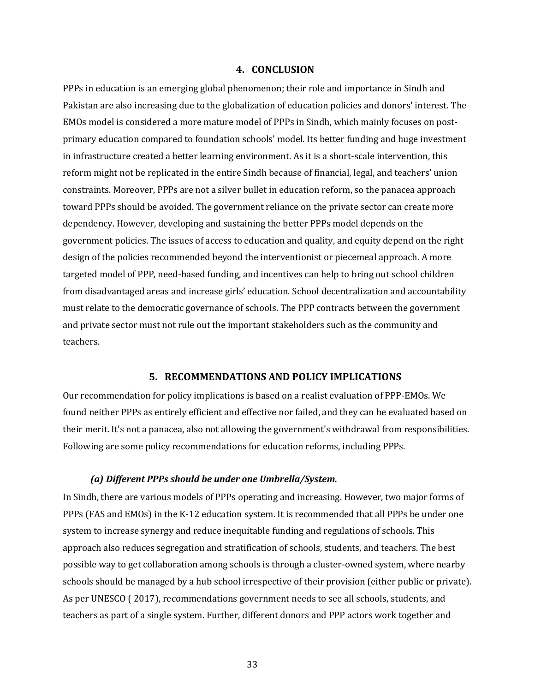#### **4. CONCLUSION**

PPPs in education is an emerging global phenomenon; their role and importance in Sindh and Pakistan are also increasing due to the globalization of education policies and donors' interest. The EMOs model is considered a more mature model of PPPs in Sindh, which mainly focuses on postprimary education compared to foundation schools' model. Its better funding and huge investment in infrastructure created a better learning environment. As it is a short-scale intervention, this reform might not be replicated in the entire Sindh because of financial, legal, and teachers' union constraints. Moreover, PPPs are not a silver bullet in education reform, so the panacea approach toward PPPs should be avoided. The government reliance on the private sector can create more dependency. However, developing and sustaining the better PPPs model depends on the government policies. The issues of access to education and quality, and equity depend on the right design of the policies recommended beyond the interventionist or piecemeal approach. A more targeted model of PPP, need-based funding, and incentives can help to bring out school children from disadvantaged areas and increase girls' education. School decentralization and accountability must relate to the democratic governance of schools. The PPP contracts between the government and private sector must not rule out the important stakeholders such as the community and teachers.

#### **5. RECOMMENDATIONS AND POLICY IMPLICATIONS**

Our recommendation for policy implications is based on a realist evaluation of PPP-EMOs. We found neither PPPs as entirely efficient and effective nor failed, and they can be evaluated based on their merit. It's not a panacea, also not allowing the government's withdrawal from responsibilities. Following are some policy recommendations for education reforms, including PPPs.

#### *(a) Different PPPs should be under one Umbrella/System.*

In Sindh, there are various models of PPPs operating and increasing. However, two major forms of PPPs (FAS and EMOs) in the K-12 education system. It is recommended that all PPPs be under one system to increase synergy and reduce inequitable funding and regulations of schools. This approach also reduces segregation and stratification of schools, students, and teachers. The best possible way to get collaboration among schools is through a cluster-owned system, where nearby schools should be managed by a hub school irrespective of their provision (either public or private). As per UNESCO (2017), recommendations government needs to see all schools, students, and teachers as part of a single system. Further, different donors and PPP actors work together and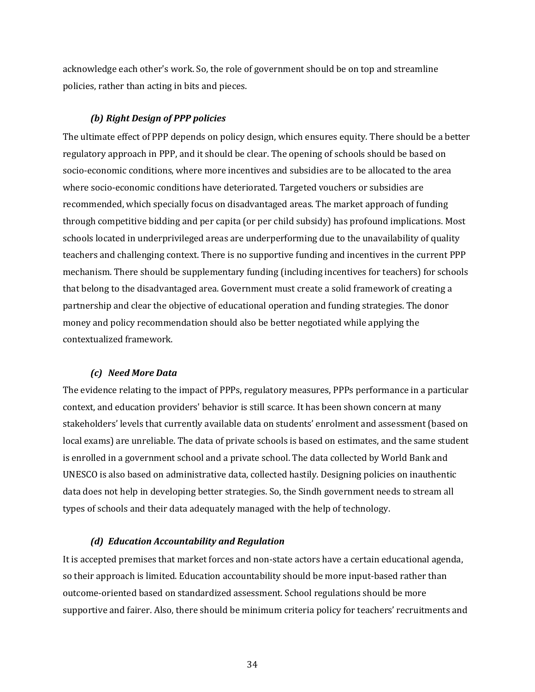acknowledge each other's work. So, the role of government should be on top and streamline policies, rather than acting in bits and pieces.

#### **(b)** Right Design of PPP policies

The ultimate effect of PPP depends on policy design, which ensures equity. There should be a better regulatory approach in PPP, and it should be clear. The opening of schools should be based on socio-economic conditions, where more incentives and subsidies are to be allocated to the area where socio-economic conditions have deteriorated. Targeted vouchers or subsidies are recommended, which specially focus on disadvantaged areas. The market approach of funding through competitive bidding and per capita (or per child subsidy) has profound implications. Most schools located in underprivileged areas are underperforming due to the unavailability of quality teachers and challenging context. There is no supportive funding and incentives in the current PPP mechanism. There should be supplementary funding (including incentives for teachers) for schools that belong to the disadvantaged area. Government must create a solid framework of creating a partnership and clear the objective of educational operation and funding strategies. The donor money and policy recommendation should also be better negotiated while applying the contextualized framework. 

#### *(c) Need More Data*

The evidence relating to the impact of PPPs, regulatory measures, PPPs performance in a particular context, and education providers' behavior is still scarce. It has been shown concern at many stakeholders' levels that currently available data on students' enrolment and assessment (based on local exams) are unreliable. The data of private schools is based on estimates, and the same student is enrolled in a government school and a private school. The data collected by World Bank and UNESCO is also based on administrative data, collected hastily. Designing policies on inauthentic data does not help in developing better strategies. So, the Sindh government needs to stream all types of schools and their data adequately managed with the help of technology.

#### *(d) Education Accountability and Regulation*

It is accepted premises that market forces and non-state actors have a certain educational agenda, so their approach is limited. Education accountability should be more input-based rather than outcome-oriented based on standardized assessment. School regulations should be more supportive and fairer. Also, there should be minimum criteria policy for teachers' recruitments and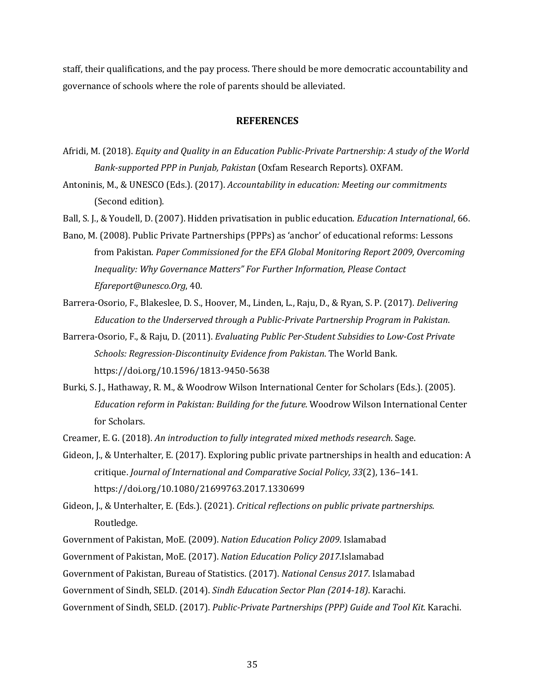staff, their qualifications, and the pay process. There should be more democratic accountability and governance of schools where the role of parents should be alleviated.

#### **REFERENCES**

- Afridi, M. (2018). *Equity and Quality in an Education Public-Private Partnership: A study of the World Bank-supported PPP in Punjab, Pakistan* (Oxfam Research Reports). OXFAM.
- Antoninis, M., & UNESCO (Eds.). (2017). *Accountability in education: Meeting our commitments* (Second edition).
- Ball, S. J., & Youdell, D. (2007). Hidden privatisation in public education. *Education International*, 66.
- Bano, M. (2008). Public Private Partnerships (PPPs) as 'anchor' of educational reforms: Lessons from Pakistan. Paper Commissioned for the EFA Global Monitoring Report 2009, Overcoming Inequality: Why Governance Matters" For Further Information, Please Contact *Efareport@unesco.Org*, 40.
- Barrera-Osorio, F., Blakeslee, D. S., Hoover, M., Linden, L., Raju, D., & Ryan, S. P. (2017). *Delivering Education to the Underserved through a Public-Private Partnership Program in Pakistan.*
- Barrera-Osorio, F., & Raju, D. (2011). *Evaluating Public Per-Student Subsidies to Low-Cost Private Schools: Regression-Discontinuity Evidence from Pakistan.* The World Bank. https://doi.org/10.1596/1813-9450-5638
- Burki, S. J., Hathaway, R. M., & Woodrow Wilson International Center for Scholars (Eds.). (2005). *Education reform in Pakistan: Building for the future.* Woodrow Wilson International Center for Scholars.
- Creamer, E. G. (2018). An introduction to fully integrated mixed methods research. Sage.
- Gideon, J., & Unterhalter, E. (2017). Exploring public private partnerships in health and education: A critique. *Journal of International and Comparative Social Policy*, 33(2), 136-141. https://doi.org/10.1080/21699763.2017.1330699
- Gideon, J., & Unterhalter, E. (Eds.). (2021). *Critical reflections on public private partnerships*. Routledge.
- Government of Pakistan, MoE. (2009). *Nation Education Policy 2009*. Islamabad
- Government of Pakistan, MoE. (2017). *Nation Education Policy 2017*.Islamabad

Government of Pakistan, Bureau of Statistics. (2017). *National Census 2017*. Islamabad

- Government of Sindh, SELD. (2014). Sindh Education Sector Plan (2014-18). Karachi.
- Government of Sindh, SELD. (2017). *Public-Private Partnerships (PPP) Guide and Tool Kit.* Karachi.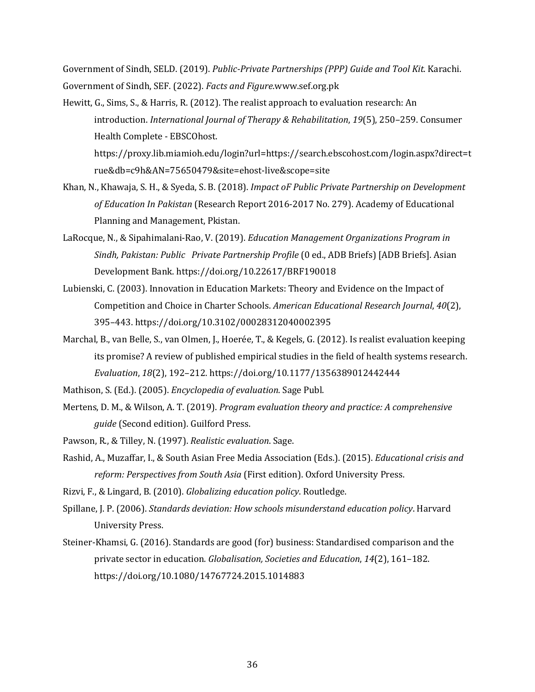Government of Sindh, SELD. (2019). *Public-Private Partnerships (PPP) Guide and Tool Kit.* Karachi. Government of Sindh, SEF. (2022). *Facts and Figure*.www.sef.org.pk

Hewitt, G., Sims, S., & Harris, R. (2012). The realist approach to evaluation research: An introduction. *International Journal of Therapy & Rehabilitation*, 19(5), 250–259. Consumer Health Complete - EBSCOhost. https://proxy.lib.miamioh.edu/login?url=https://search.ebscohost.com/login.aspx?direct=t

rue&db=c9h&AN=75650479&site=ehost-live&scope=site

- Khan, N., Khawaja, S. H., & Syeda, S. B. (2018). *Impact of Public Private Partnership on Development* of *Education In Pakistan* (Research Report 2016-2017 No. 279). Academy of Educational Planning and Management, Pkistan.
- LaRocque, N., & Sipahimalani-Rao, V. (2019). *Education Management Organizations Program in* Sindh, Pakistan: Public Private Partnership Profile (0 ed., ADB Briefs) [ADB Briefs]. Asian Development Bank. https://doi.org/10.22617/BRF190018
- Lubienski, C. (2003). Innovation in Education Markets: Theory and Evidence on the Impact of Competition and Choice in Charter Schools. *American Educational Research Journal*, 40(2), 395–443. https://doi.org/10.3102/00028312040002395
- Marchal, B., van Belle, S., van Olmen, J., Hoerée, T., & Kegels, G. (2012). Is realist evaluation keeping its promise? A review of published empirical studies in the field of health systems research. *Evaluation*, *18*(2), 192–212. https://doi.org/10.1177/1356389012442444
- Mathison, S. (Ed.). (2005). *Encyclopedia of evaluation*. Sage Publ.
- Mertens, D. M., & Wilson, A. T. (2019). *Program evaluation theory and practice: A comprehensive guide* (Second edition). Guilford Press.
- Pawson, R., & Tilley, N. (1997). *Realistic evaluation*. Sage.
- Rashid, A., Muzaffar, I., & South Asian Free Media Association (Eds.). (2015). *Educational crisis and* reform: Perspectives from South Asia (First edition). Oxford University Press.
- Rizvi, F., & Lingard, B. (2010). *Globalizing education policy*. Routledge.
- Spillane, J. P. (2006). *Standards deviation: How schools misunderstand education policy*. Harvard University Press.
- Steiner-Khamsi, G. (2016). Standards are good (for) business: Standardised comparison and the private sector in education. *Globalisation, Societies and Education*, 14(2), 161-182. https://doi.org/10.1080/14767724.2015.1014883